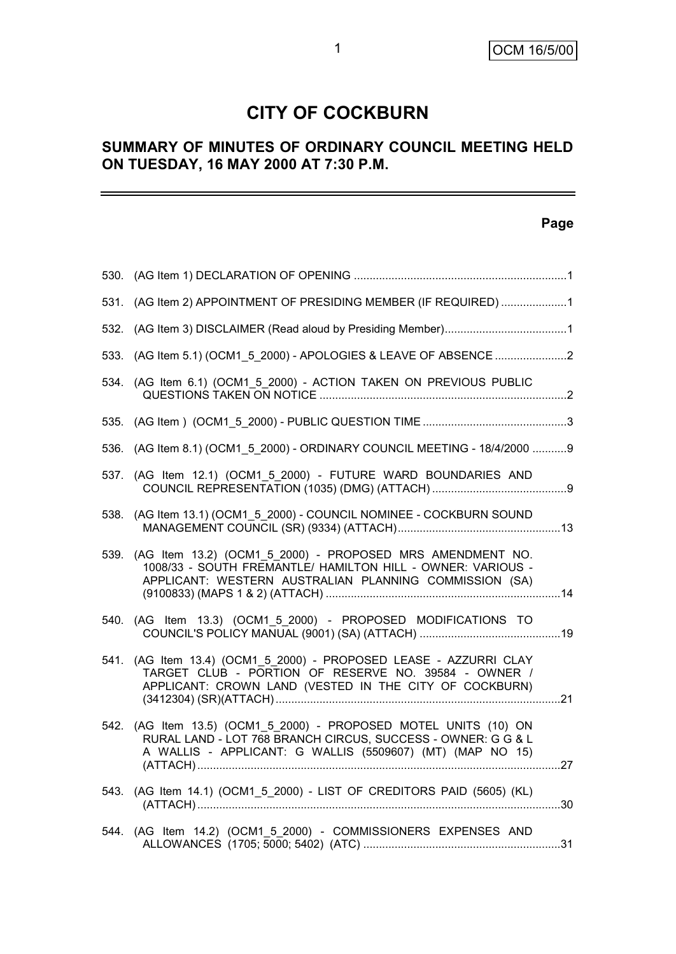## **CITY OF COCKBURN**

## **SUMMARY OF MINUTES OF ORDINARY COUNCIL MEETING HELD ON TUESDAY, 16 MAY 2000 AT 7:30 P.M.**

## **Page**

-

|      | 531. (AG Item 2) APPOINTMENT OF PRESIDING MEMBER (IF REQUIRED) 1                                                                                                                         |  |
|------|------------------------------------------------------------------------------------------------------------------------------------------------------------------------------------------|--|
|      |                                                                                                                                                                                          |  |
|      | 533. (AG Item 5.1) (OCM1_5_2000) - APOLOGIES & LEAVE OF ABSENCE 2                                                                                                                        |  |
|      | 534. (AG Item 6.1) (OCM1 5 2000) - ACTION TAKEN ON PREVIOUS PUBLIC                                                                                                                       |  |
|      |                                                                                                                                                                                          |  |
|      | 536. (AG Item 8.1) (OCM1_5_2000) - ORDINARY COUNCIL MEETING - 18/4/2000 9                                                                                                                |  |
|      | 537. (AG Item 12.1) (OCM1 5 2000) - FUTURE WARD BOUNDARIES AND                                                                                                                           |  |
| 538. | (AG Item 13.1) (OCM1 5 2000) - COUNCIL NOMINEE - COCKBURN SOUND                                                                                                                          |  |
|      | 539. (AG Item 13.2) (OCM1 5 2000) - PROPOSED MRS AMENDMENT NO.<br>1008/33 - SOUTH FREMANTLE/ HAMILTON HILL - OWNER: VARIOUS -<br>APPLICANT: WESTERN AUSTRALIAN PLANNING COMMISSION (SA)  |  |
|      | 540. (AG Item 13.3) (OCM1 5 2000) - PROPOSED MODIFICATIONS TO                                                                                                                            |  |
|      | 541. (AG Item 13.4) (OCM1 5 2000) - PROPOSED LEASE - AZZURRI CLAY<br>TARGET CLUB - PORTION OF RESERVE NO. 39584 - OWNER /<br>APPLICANT: CROWN LAND (VESTED IN THE CITY OF COCKBURN)      |  |
| 542. | (AG Item 13.5) (OCM1 5 2000) - PROPOSED MOTEL UNITS (10) ON<br>RURAL LAND - LOT 768 BRANCH CIRCUS, SUCCESS - OWNER: G G & L<br>A WALLIS - APPLICANT: G WALLIS (5509607) (MT) (MAP NO 15) |  |
|      | 543. (AG Item 14.1) (OCM1_5_2000) - LIST OF CREDITORS PAID (5605) (KL)                                                                                                                   |  |
|      | 544. (AG Item 14.2) (OCM1_5_2000) - COMMISSIONERS EXPENSES AND                                                                                                                           |  |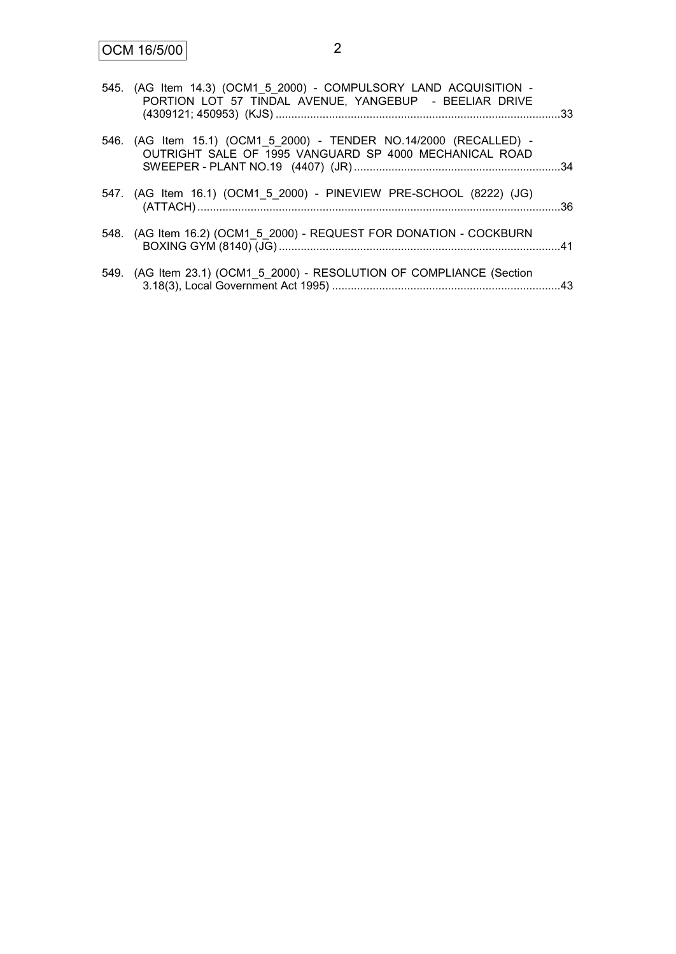| 545. (AG Item 14.3) (OCM1 5 2000) - COMPULSORY LAND ACQUISITION -<br>PORTION LOT 57 TINDAL AVENUE, YANGEBUP - BEELIAR DRIVE  |  |
|------------------------------------------------------------------------------------------------------------------------------|--|
| 546. (AG Item 15.1) (OCM1_5_2000) - TENDER NO.14/2000 (RECALLED) -<br>OUTRIGHT SALE OF 1995 VANGUARD SP 4000 MECHANICAL ROAD |  |
| 547. (AG Item 16.1) (OCM1_5_2000) - PINEVIEW PRE-SCHOOL (8222) (JG)                                                          |  |
| 548. (AG Item 16.2) (OCM1 5 2000) - REQUEST FOR DONATION - COCKBURN                                                          |  |
| 549. (AG Item 23.1) (OCM1_5_2000) - RESOLUTION OF COMPLIANCE (Section                                                        |  |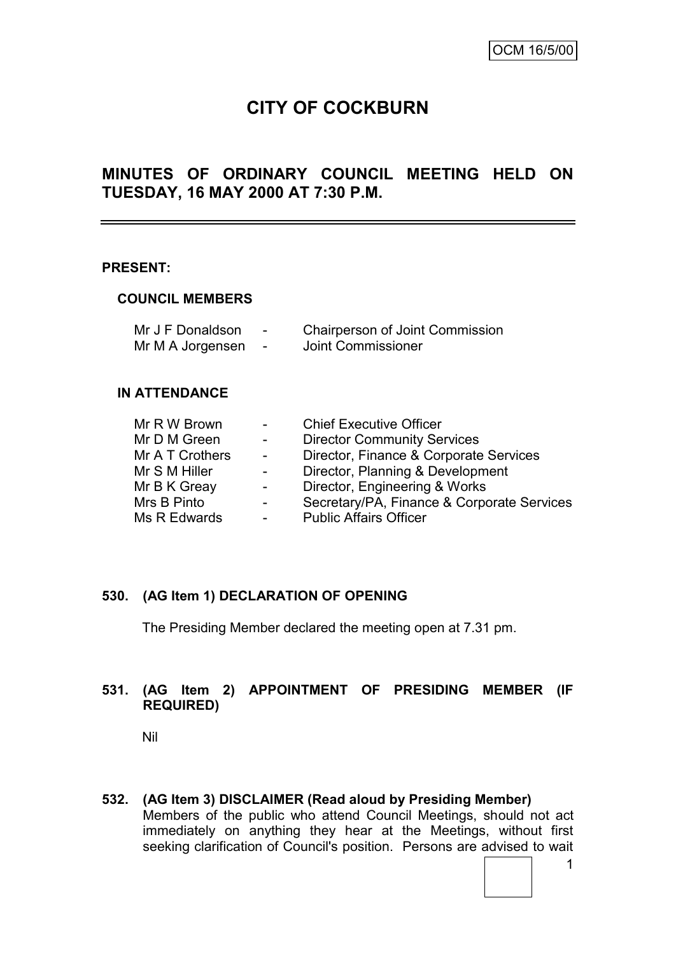# **CITY OF COCKBURN**

## **MINUTES OF ORDINARY COUNCIL MEETING HELD ON TUESDAY, 16 MAY 2000 AT 7:30 P.M.**

#### **PRESENT:**

#### **COUNCIL MEMBERS**

| Mr J F Donaldson | - | <b>Chairperson of Joint Commission</b> |
|------------------|---|----------------------------------------|
| Mr M A Jorgensen |   | Joint Commissioner                     |

#### **IN ATTENDANCE**

| Mr R W Brown    | $\sim 10^{-10}$         | <b>Chief Executive Officer</b>             |
|-----------------|-------------------------|--------------------------------------------|
| Mr D M Green    | $\sim$ 10 $\pm$         | <b>Director Community Services</b>         |
| Mr A T Crothers | $\sim 100$ km s $^{-1}$ | Director, Finance & Corporate Services     |
| Mr S M Hiller   | $\sim$ $-$              | Director, Planning & Development           |
| Mr B K Greay    | $\sim$ $-$              | Director, Engineering & Works              |
| Mrs B Pinto     | $\sim$ $-$              | Secretary/PA, Finance & Corporate Services |
| Ms R Edwards    |                         | <b>Public Affairs Officer</b>              |

#### **530. (AG Item 1) DECLARATION OF OPENING**

The Presiding Member declared the meeting open at 7.31 pm.

## **531. (AG Item 2) APPOINTMENT OF PRESIDING MEMBER (IF REQUIRED)**

Nil

**532. (AG Item 3) DISCLAIMER (Read aloud by Presiding Member)** Members of the public who attend Council Meetings, should not act immediately on anything they hear at the Meetings, without first seeking clarification of Council's position. Persons are advised to wait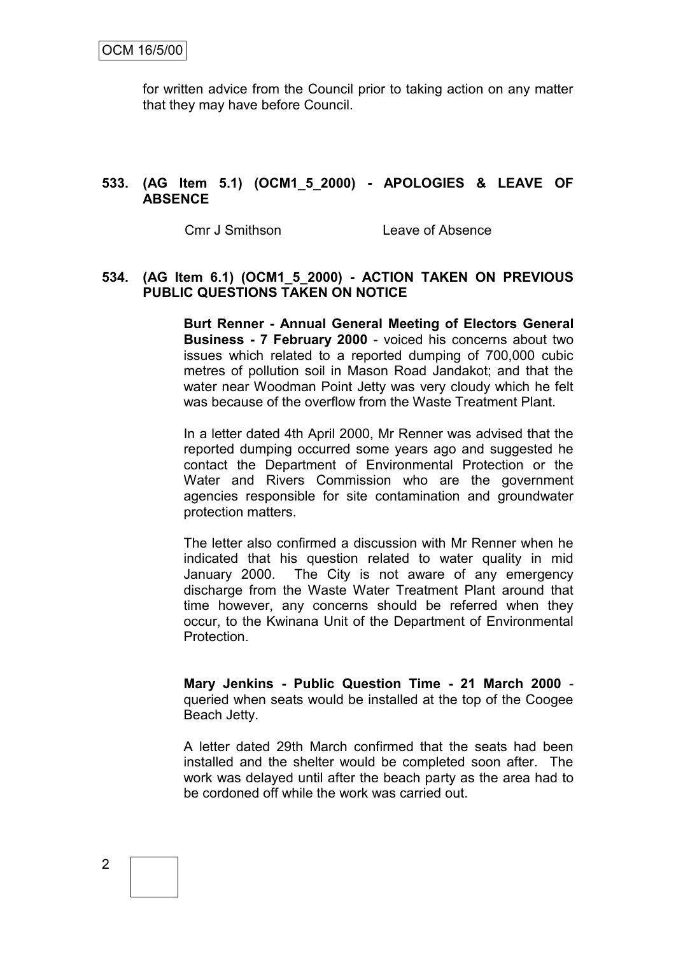for written advice from the Council prior to taking action on any matter that they may have before Council.

#### **533. (AG Item 5.1) (OCM1\_5\_2000) - APOLOGIES & LEAVE OF ABSENCE**

Cmr J Smithson Leave of Absence

#### **534. (AG Item 6.1) (OCM1\_5\_2000) - ACTION TAKEN ON PREVIOUS PUBLIC QUESTIONS TAKEN ON NOTICE**

**Burt Renner - Annual General Meeting of Electors General Business - 7 February 2000** - voiced his concerns about two issues which related to a reported dumping of 700,000 cubic metres of pollution soil in Mason Road Jandakot; and that the water near Woodman Point Jetty was very cloudy which he felt was because of the overflow from the Waste Treatment Plant.

In a letter dated 4th April 2000, Mr Renner was advised that the reported dumping occurred some years ago and suggested he contact the Department of Environmental Protection or the Water and Rivers Commission who are the government agencies responsible for site contamination and groundwater protection matters.

The letter also confirmed a discussion with Mr Renner when he indicated that his question related to water quality in mid January 2000. The City is not aware of any emergency discharge from the Waste Water Treatment Plant around that time however, any concerns should be referred when they occur, to the Kwinana Unit of the Department of Environmental **Protection** 

**Mary Jenkins - Public Question Time - 21 March 2000** queried when seats would be installed at the top of the Coogee Beach Jetty.

A letter dated 29th March confirmed that the seats had been installed and the shelter would be completed soon after. The work was delayed until after the beach party as the area had to be cordoned off while the work was carried out.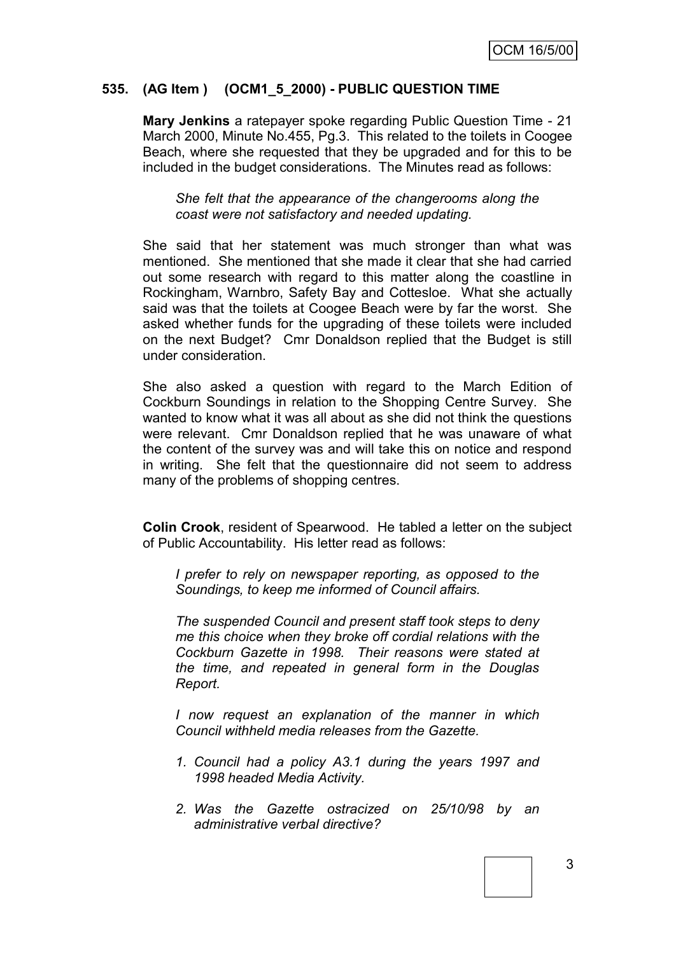#### **535. (AG Item ) (OCM1\_5\_2000) - PUBLIC QUESTION TIME**

**Mary Jenkins** a ratepayer spoke regarding Public Question Time - 21 March 2000, Minute No.455, Pg.3. This related to the toilets in Coogee Beach, where she requested that they be upgraded and for this to be included in the budget considerations. The Minutes read as follows:

*She felt that the appearance of the changerooms along the coast were not satisfactory and needed updating.*

She said that her statement was much stronger than what was mentioned. She mentioned that she made it clear that she had carried out some research with regard to this matter along the coastline in Rockingham, Warnbro, Safety Bay and Cottesloe. What she actually said was that the toilets at Coogee Beach were by far the worst. She asked whether funds for the upgrading of these toilets were included on the next Budget? Cmr Donaldson replied that the Budget is still under consideration.

She also asked a question with regard to the March Edition of Cockburn Soundings in relation to the Shopping Centre Survey. She wanted to know what it was all about as she did not think the questions were relevant. Cmr Donaldson replied that he was unaware of what the content of the survey was and will take this on notice and respond in writing. She felt that the questionnaire did not seem to address many of the problems of shopping centres.

**Colin Crook**, resident of Spearwood. He tabled a letter on the subject of Public Accountability. His letter read as follows:

*I prefer to rely on newspaper reporting, as opposed to the Soundings, to keep me informed of Council affairs.*

*The suspended Council and present staff took steps to deny me this choice when they broke off cordial relations with the Cockburn Gazette in 1998. Their reasons were stated at the time, and repeated in general form in the Douglas Report.*

*I now request an explanation of the manner in which Council withheld media releases from the Gazette.*

- *1. Council had a policy A3.1 during the years 1997 and 1998 headed Media Activity.*
- *2. Was the Gazette ostracized on 25/10/98 by an administrative verbal directive?*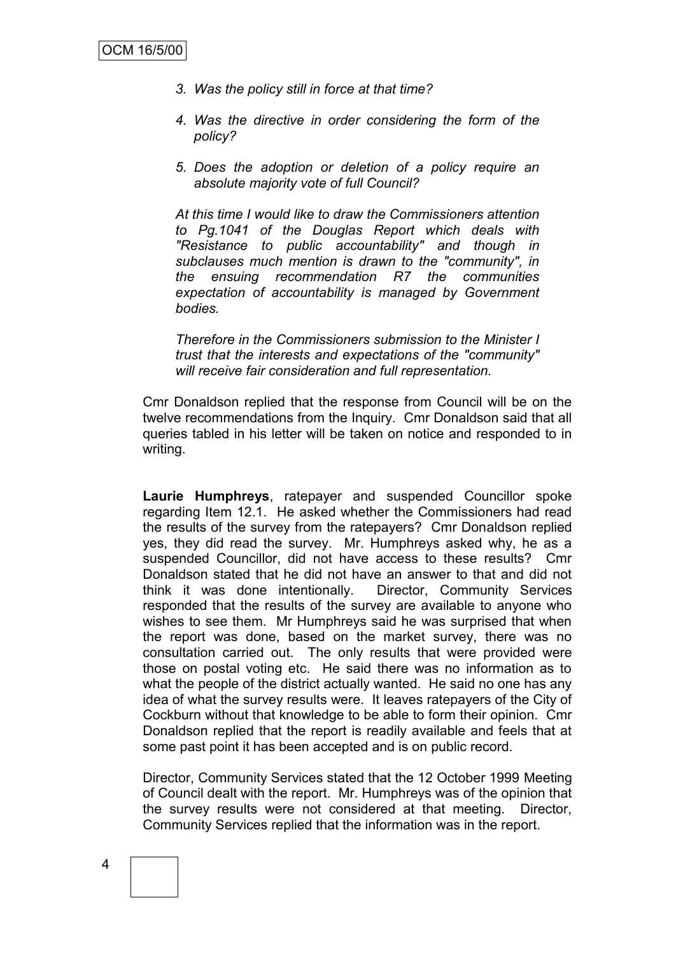- *3. Was the policy still in force at that time?*
- *4. Was the directive in order considering the form of the policy?*
- *5. Does the adoption or deletion of a policy require an absolute majority vote of full Council?*

*At this time I would like to draw the Commissioners attention to Pg.1041 of the Douglas Report which deals with "Resistance to public accountability" and though in subclauses much mention is drawn to the "community", in the ensuing recommendation R7 the communities expectation of accountability is managed by Government bodies.*

*Therefore in the Commissioners submission to the Minister I trust that the interests and expectations of the "community" will receive fair consideration and full representation.*

Cmr Donaldson replied that the response from Council will be on the twelve recommendations from the Inquiry. Cmr Donaldson said that all queries tabled in his letter will be taken on notice and responded to in writing.

**Laurie Humphreys**, ratepayer and suspended Councillor spoke regarding Item 12.1. He asked whether the Commissioners had read the results of the survey from the ratepayers? Cmr Donaldson replied yes, they did read the survey. Mr. Humphreys asked why, he as a suspended Councillor, did not have access to these results? Cmr Donaldson stated that he did not have an answer to that and did not think it was done intentionally. Director, Community Services responded that the results of the survey are available to anyone who wishes to see them. Mr Humphreys said he was surprised that when the report was done, based on the market survey, there was no consultation carried out. The only results that were provided were those on postal voting etc. He said there was no information as to what the people of the district actually wanted. He said no one has any idea of what the survey results were. It leaves ratepayers of the City of Cockburn without that knowledge to be able to form their opinion. Cmr Donaldson replied that the report is readily available and feels that at some past point it has been accepted and is on public record.

Director, Community Services stated that the 12 October 1999 Meeting of Council dealt with the report. Mr. Humphreys was of the opinion that the survey results were not considered at that meeting. Director, Community Services replied that the information was in the report.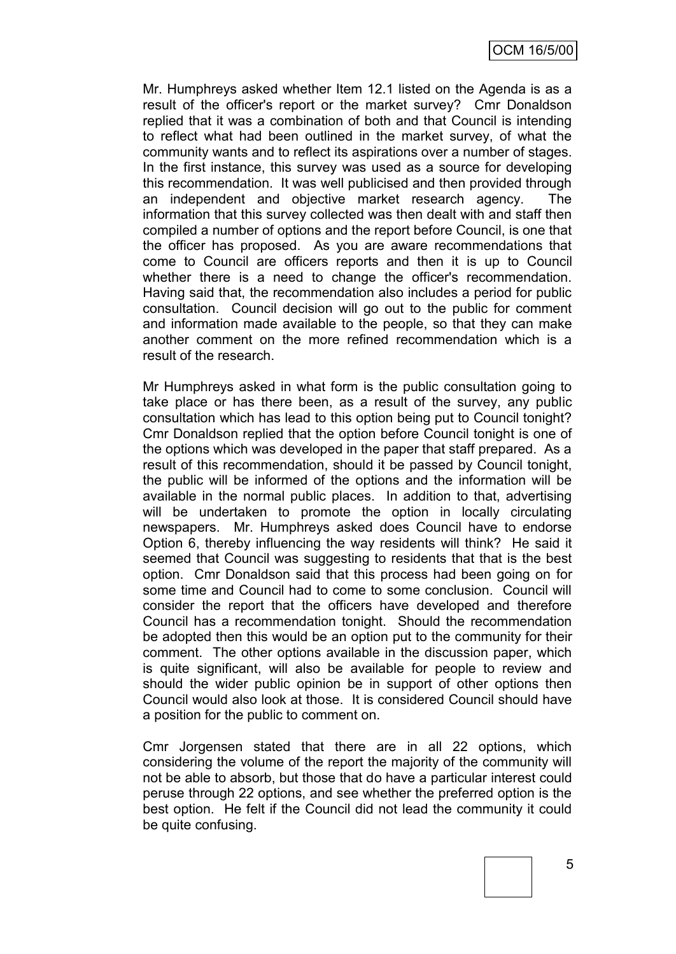Mr. Humphreys asked whether Item 12.1 listed on the Agenda is as a result of the officer's report or the market survey? Cmr Donaldson replied that it was a combination of both and that Council is intending to reflect what had been outlined in the market survey, of what the community wants and to reflect its aspirations over a number of stages. In the first instance, this survey was used as a source for developing this recommendation. It was well publicised and then provided through an independent and objective market research agency. The information that this survey collected was then dealt with and staff then compiled a number of options and the report before Council, is one that the officer has proposed. As you are aware recommendations that come to Council are officers reports and then it is up to Council whether there is a need to change the officer's recommendation. Having said that, the recommendation also includes a period for public consultation. Council decision will go out to the public for comment and information made available to the people, so that they can make another comment on the more refined recommendation which is a result of the research.

Mr Humphreys asked in what form is the public consultation going to take place or has there been, as a result of the survey, any public consultation which has lead to this option being put to Council tonight? Cmr Donaldson replied that the option before Council tonight is one of the options which was developed in the paper that staff prepared. As a result of this recommendation, should it be passed by Council tonight, the public will be informed of the options and the information will be available in the normal public places. In addition to that, advertising will be undertaken to promote the option in locally circulating newspapers. Mr. Humphreys asked does Council have to endorse Option 6, thereby influencing the way residents will think? He said it seemed that Council was suggesting to residents that that is the best option. Cmr Donaldson said that this process had been going on for some time and Council had to come to some conclusion. Council will consider the report that the officers have developed and therefore Council has a recommendation tonight. Should the recommendation be adopted then this would be an option put to the community for their comment. The other options available in the discussion paper, which is quite significant, will also be available for people to review and should the wider public opinion be in support of other options then Council would also look at those. It is considered Council should have a position for the public to comment on.

Cmr Jorgensen stated that there are in all 22 options, which considering the volume of the report the majority of the community will not be able to absorb, but those that do have a particular interest could peruse through 22 options, and see whether the preferred option is the best option. He felt if the Council did not lead the community it could be quite confusing.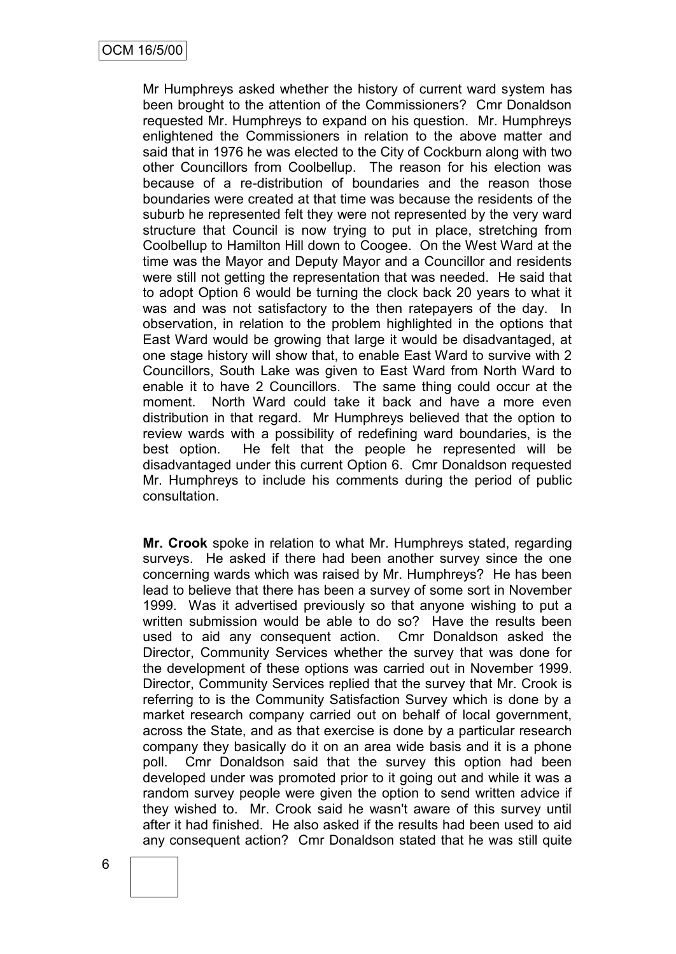Mr Humphreys asked whether the history of current ward system has been brought to the attention of the Commissioners? Cmr Donaldson requested Mr. Humphreys to expand on his question. Mr. Humphreys enlightened the Commissioners in relation to the above matter and said that in 1976 he was elected to the City of Cockburn along with two other Councillors from Coolbellup. The reason for his election was because of a re-distribution of boundaries and the reason those boundaries were created at that time was because the residents of the suburb he represented felt they were not represented by the very ward structure that Council is now trying to put in place, stretching from Coolbellup to Hamilton Hill down to Coogee. On the West Ward at the time was the Mayor and Deputy Mayor and a Councillor and residents were still not getting the representation that was needed. He said that to adopt Option 6 would be turning the clock back 20 years to what it was and was not satisfactory to the then ratepayers of the day. In observation, in relation to the problem highlighted in the options that East Ward would be growing that large it would be disadvantaged, at one stage history will show that, to enable East Ward to survive with 2 Councillors, South Lake was given to East Ward from North Ward to enable it to have 2 Councillors. The same thing could occur at the moment. North Ward could take it back and have a more even distribution in that regard. Mr Humphreys believed that the option to review wards with a possibility of redefining ward boundaries, is the best option. He felt that the people he represented will be disadvantaged under this current Option 6. Cmr Donaldson requested Mr. Humphreys to include his comments during the period of public consultation.

**Mr. Crook** spoke in relation to what Mr. Humphreys stated, regarding surveys. He asked if there had been another survey since the one concerning wards which was raised by Mr. Humphreys? He has been lead to believe that there has been a survey of some sort in November 1999. Was it advertised previously so that anyone wishing to put a written submission would be able to do so? Have the results been used to aid any consequent action. Cmr Donaldson asked the Director, Community Services whether the survey that was done for the development of these options was carried out in November 1999. Director, Community Services replied that the survey that Mr. Crook is referring to is the Community Satisfaction Survey which is done by a market research company carried out on behalf of local government, across the State, and as that exercise is done by a particular research company they basically do it on an area wide basis and it is a phone poll. Cmr Donaldson said that the survey this option had been developed under was promoted prior to it going out and while it was a random survey people were given the option to send written advice if they wished to. Mr. Crook said he wasn't aware of this survey until after it had finished. He also asked if the results had been used to aid any consequent action? Cmr Donaldson stated that he was still quite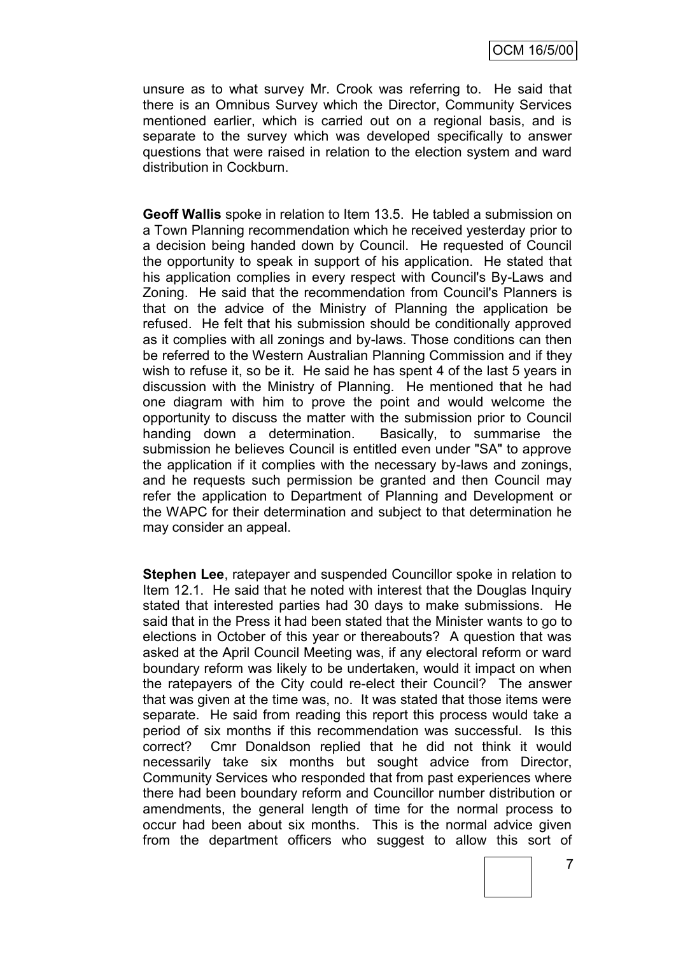unsure as to what survey Mr. Crook was referring to. He said that there is an Omnibus Survey which the Director, Community Services mentioned earlier, which is carried out on a regional basis, and is separate to the survey which was developed specifically to answer questions that were raised in relation to the election system and ward distribution in Cockburn.

**Geoff Wallis** spoke in relation to Item 13.5. He tabled a submission on a Town Planning recommendation which he received yesterday prior to a decision being handed down by Council. He requested of Council the opportunity to speak in support of his application. He stated that his application complies in every respect with Council's By-Laws and Zoning. He said that the recommendation from Council's Planners is that on the advice of the Ministry of Planning the application be refused. He felt that his submission should be conditionally approved as it complies with all zonings and by-laws. Those conditions can then be referred to the Western Australian Planning Commission and if they wish to refuse it, so be it. He said he has spent 4 of the last 5 years in discussion with the Ministry of Planning. He mentioned that he had one diagram with him to prove the point and would welcome the opportunity to discuss the matter with the submission prior to Council handing down a determination. Basically, to summarise the submission he believes Council is entitled even under "SA" to approve the application if it complies with the necessary by-laws and zonings, and he requests such permission be granted and then Council may refer the application to Department of Planning and Development or the WAPC for their determination and subject to that determination he may consider an appeal.

**Stephen Lee**, ratepayer and suspended Councillor spoke in relation to Item 12.1. He said that he noted with interest that the Douglas Inquiry stated that interested parties had 30 days to make submissions. He said that in the Press it had been stated that the Minister wants to go to elections in October of this year or thereabouts? A question that was asked at the April Council Meeting was, if any electoral reform or ward boundary reform was likely to be undertaken, would it impact on when the ratepayers of the City could re-elect their Council? The answer that was given at the time was, no. It was stated that those items were separate. He said from reading this report this process would take a period of six months if this recommendation was successful. Is this correct? Cmr Donaldson replied that he did not think it would necessarily take six months but sought advice from Director, Community Services who responded that from past experiences where there had been boundary reform and Councillor number distribution or amendments, the general length of time for the normal process to occur had been about six months. This is the normal advice given from the department officers who suggest to allow this sort of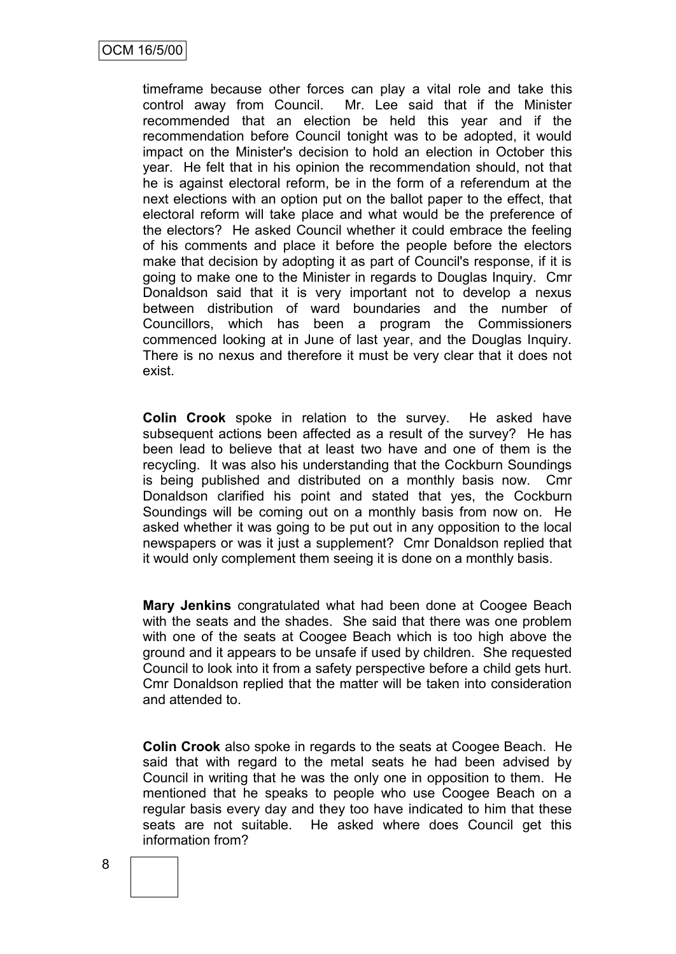timeframe because other forces can play a vital role and take this control away from Council. Mr. Lee said that if the Minister recommended that an election be held this year and if the recommendation before Council tonight was to be adopted, it would impact on the Minister's decision to hold an election in October this year. He felt that in his opinion the recommendation should, not that he is against electoral reform, be in the form of a referendum at the next elections with an option put on the ballot paper to the effect, that electoral reform will take place and what would be the preference of the electors? He asked Council whether it could embrace the feeling of his comments and place it before the people before the electors make that decision by adopting it as part of Council's response, if it is going to make one to the Minister in regards to Douglas Inquiry. Cmr Donaldson said that it is very important not to develop a nexus between distribution of ward boundaries and the number of Councillors, which has been a program the Commissioners commenced looking at in June of last year, and the Douglas Inquiry. There is no nexus and therefore it must be very clear that it does not exist.

**Colin Crook** spoke in relation to the survey. He asked have subsequent actions been affected as a result of the survey? He has been lead to believe that at least two have and one of them is the recycling. It was also his understanding that the Cockburn Soundings is being published and distributed on a monthly basis now. Cmr Donaldson clarified his point and stated that yes, the Cockburn Soundings will be coming out on a monthly basis from now on. He asked whether it was going to be put out in any opposition to the local newspapers or was it just a supplement? Cmr Donaldson replied that it would only complement them seeing it is done on a monthly basis.

**Mary Jenkins** congratulated what had been done at Coogee Beach with the seats and the shades. She said that there was one problem with one of the seats at Coogee Beach which is too high above the ground and it appears to be unsafe if used by children. She requested Council to look into it from a safety perspective before a child gets hurt. Cmr Donaldson replied that the matter will be taken into consideration and attended to.

**Colin Crook** also spoke in regards to the seats at Coogee Beach. He said that with regard to the metal seats he had been advised by Council in writing that he was the only one in opposition to them. He mentioned that he speaks to people who use Coogee Beach on a regular basis every day and they too have indicated to him that these seats are not suitable. He asked where does Council get this information from?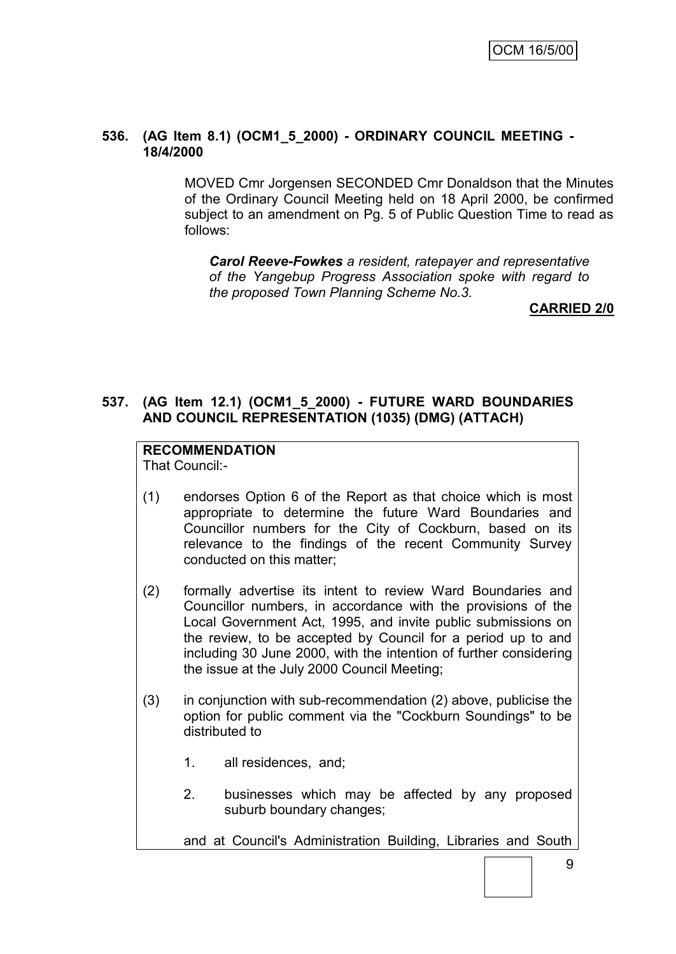#### **536. (AG Item 8.1) (OCM1\_5\_2000) - ORDINARY COUNCIL MEETING - 18/4/2000**

MOVED Cmr Jorgensen SECONDED Cmr Donaldson that the Minutes of the Ordinary Council Meeting held on 18 April 2000, be confirmed subject to an amendment on Pg. 5 of Public Question Time to read as follows:

*Carol Reeve-Fowkes a resident, ratepayer and representative of the Yangebup Progress Association spoke with regard to the proposed Town Planning Scheme No.3.*

#### **CARRIED 2/0**

## **537. (AG Item 12.1) (OCM1\_5\_2000) - FUTURE WARD BOUNDARIES AND COUNCIL REPRESENTATION (1035) (DMG) (ATTACH)**

## **RECOMMENDATION**

That Council:-

- (1) endorses Option 6 of the Report as that choice which is most appropriate to determine the future Ward Boundaries and Councillor numbers for the City of Cockburn, based on its relevance to the findings of the recent Community Survey conducted on this matter;
- (2) formally advertise its intent to review Ward Boundaries and Councillor numbers, in accordance with the provisions of the Local Government Act, 1995, and invite public submissions on the review, to be accepted by Council for a period up to and including 30 June 2000, with the intention of further considering the issue at the July 2000 Council Meeting;
- (3) in conjunction with sub-recommendation (2) above, publicise the option for public comment via the "Cockburn Soundings" to be distributed to
	- 1. all residences, and;
	- 2. businesses which may be affected by any proposed suburb boundary changes;

and at Council's Administration Building, Libraries and South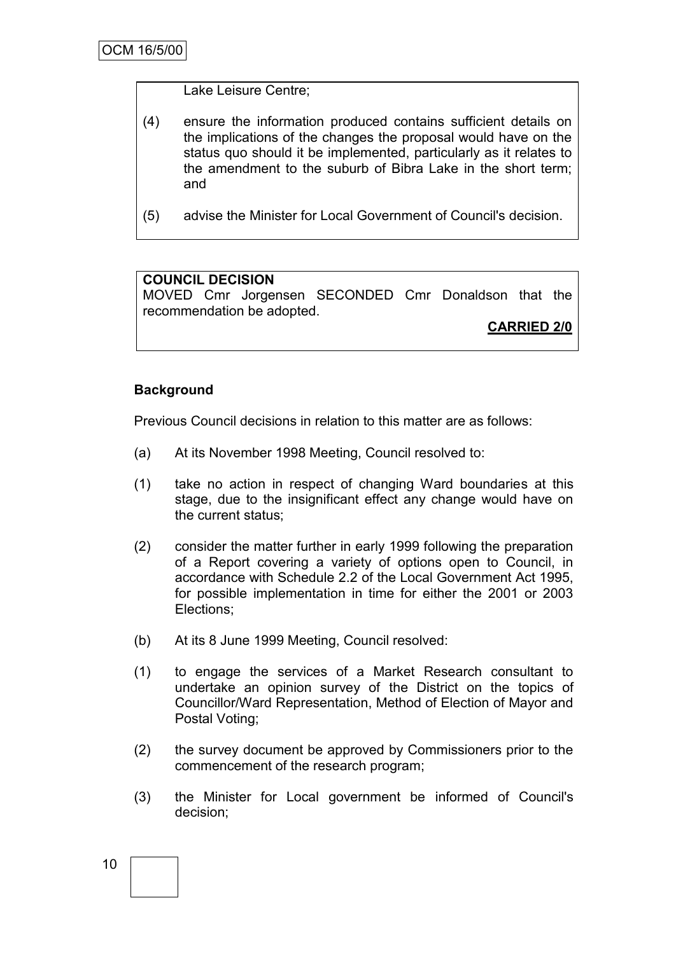#### Lake Leisure Centre;

- (4) ensure the information produced contains sufficient details on the implications of the changes the proposal would have on the status quo should it be implemented, particularly as it relates to the amendment to the suburb of Bibra Lake in the short term; and
- (5) advise the Minister for Local Government of Council's decision.

## **COUNCIL DECISION**

MOVED Cmr Jorgensen SECONDED Cmr Donaldson that the recommendation be adopted.

**CARRIED 2/0**

## **Background**

Previous Council decisions in relation to this matter are as follows:

- (a) At its November 1998 Meeting, Council resolved to:
- (1) take no action in respect of changing Ward boundaries at this stage, due to the insignificant effect any change would have on the current status;
- (2) consider the matter further in early 1999 following the preparation of a Report covering a variety of options open to Council, in accordance with Schedule 2.2 of the Local Government Act 1995, for possible implementation in time for either the 2001 or 2003 Elections;
- (b) At its 8 June 1999 Meeting, Council resolved:
- (1) to engage the services of a Market Research consultant to undertake an opinion survey of the District on the topics of Councillor/Ward Representation, Method of Election of Mayor and Postal Voting;
- (2) the survey document be approved by Commissioners prior to the commencement of the research program;
- (3) the Minister for Local government be informed of Council's decision;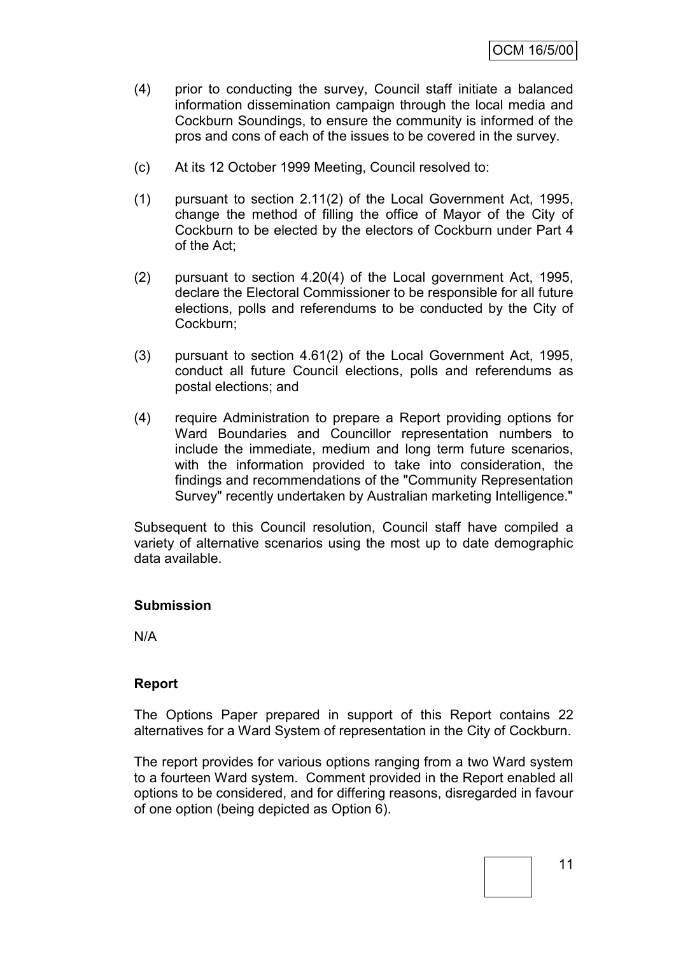- (4) prior to conducting the survey, Council staff initiate a balanced information dissemination campaign through the local media and Cockburn Soundings, to ensure the community is informed of the pros and cons of each of the issues to be covered in the survey.
- (c) At its 12 October 1999 Meeting, Council resolved to:
- (1) pursuant to section 2.11(2) of the Local Government Act, 1995, change the method of filling the office of Mayor of the City of Cockburn to be elected by the electors of Cockburn under Part 4 of the Act;
- (2) pursuant to section 4.20(4) of the Local government Act, 1995, declare the Electoral Commissioner to be responsible for all future elections, polls and referendums to be conducted by the City of Cockburn;
- (3) pursuant to section 4.61(2) of the Local Government Act, 1995, conduct all future Council elections, polls and referendums as postal elections; and
- (4) require Administration to prepare a Report providing options for Ward Boundaries and Councillor representation numbers to include the immediate, medium and long term future scenarios, with the information provided to take into consideration, the findings and recommendations of the "Community Representation Survey" recently undertaken by Australian marketing Intelligence."

Subsequent to this Council resolution, Council staff have compiled a variety of alternative scenarios using the most up to date demographic data available.

#### **Submission**

N/A

#### **Report**

The Options Paper prepared in support of this Report contains 22 alternatives for a Ward System of representation in the City of Cockburn.

The report provides for various options ranging from a two Ward system to a fourteen Ward system. Comment provided in the Report enabled all options to be considered, and for differing reasons, disregarded in favour of one option (being depicted as Option 6).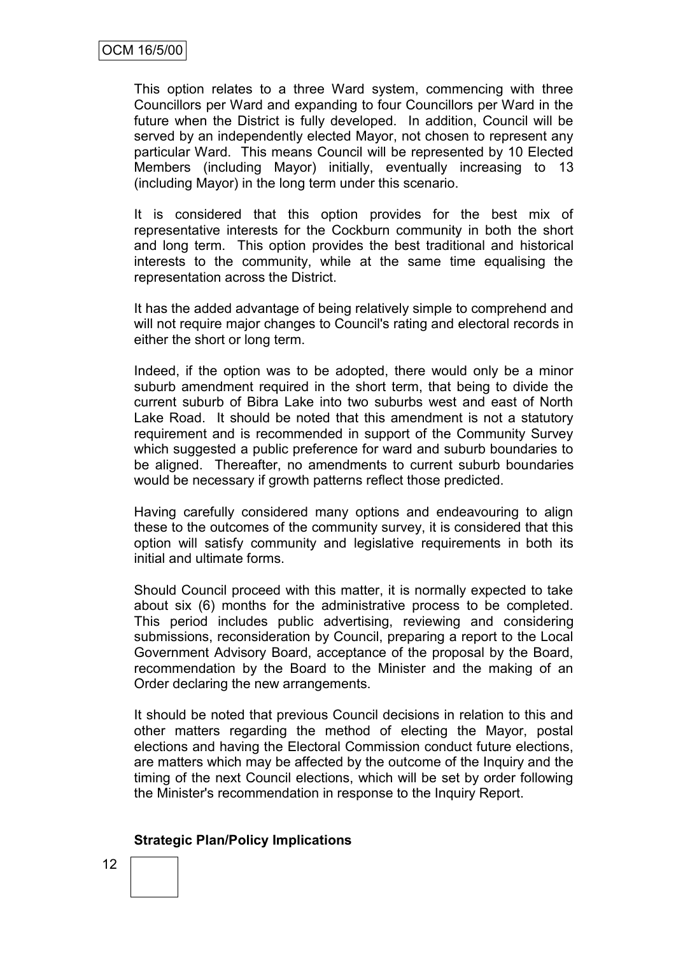This option relates to a three Ward system, commencing with three Councillors per Ward and expanding to four Councillors per Ward in the future when the District is fully developed. In addition, Council will be served by an independently elected Mayor, not chosen to represent any particular Ward. This means Council will be represented by 10 Elected Members (including Mayor) initially, eventually increasing to 13 (including Mayor) in the long term under this scenario.

It is considered that this option provides for the best mix of representative interests for the Cockburn community in both the short and long term. This option provides the best traditional and historical interests to the community, while at the same time equalising the representation across the District.

It has the added advantage of being relatively simple to comprehend and will not require major changes to Council's rating and electoral records in either the short or long term.

Indeed, if the option was to be adopted, there would only be a minor suburb amendment required in the short term, that being to divide the current suburb of Bibra Lake into two suburbs west and east of North Lake Road. It should be noted that this amendment is not a statutory requirement and is recommended in support of the Community Survey which suggested a public preference for ward and suburb boundaries to be aligned. Thereafter, no amendments to current suburb boundaries would be necessary if growth patterns reflect those predicted.

Having carefully considered many options and endeavouring to align these to the outcomes of the community survey, it is considered that this option will satisfy community and legislative requirements in both its initial and ultimate forms.

Should Council proceed with this matter, it is normally expected to take about six (6) months for the administrative process to be completed. This period includes public advertising, reviewing and considering submissions, reconsideration by Council, preparing a report to the Local Government Advisory Board, acceptance of the proposal by the Board, recommendation by the Board to the Minister and the making of an Order declaring the new arrangements.

It should be noted that previous Council decisions in relation to this and other matters regarding the method of electing the Mayor, postal elections and having the Electoral Commission conduct future elections, are matters which may be affected by the outcome of the Inquiry and the timing of the next Council elections, which will be set by order following the Minister's recommendation in response to the Inquiry Report.

## **Strategic Plan/Policy Implications**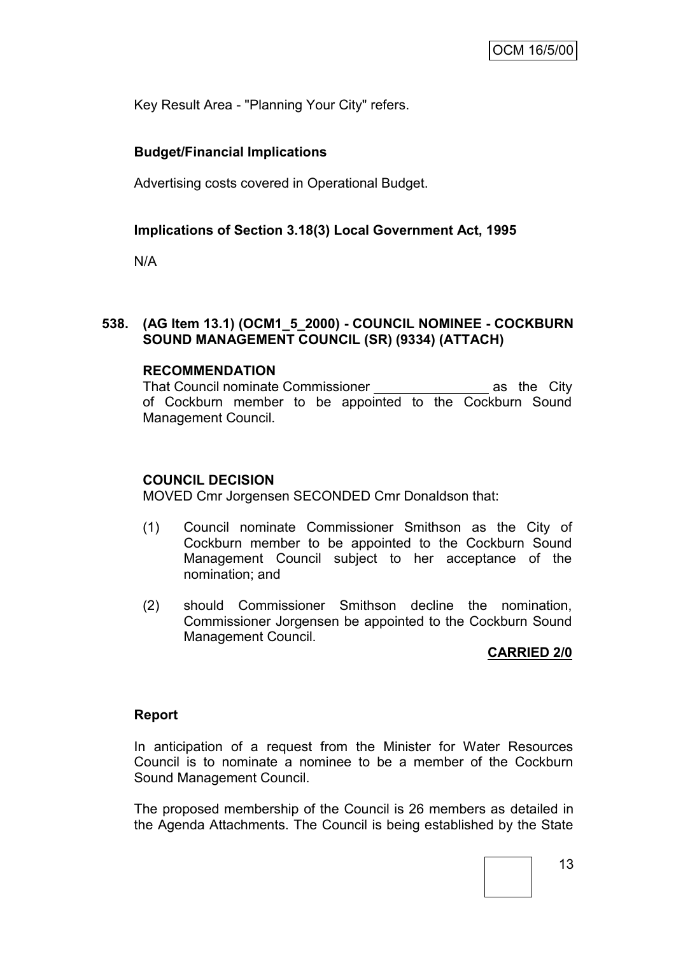Key Result Area - "Planning Your City" refers.

## **Budget/Financial Implications**

Advertising costs covered in Operational Budget.

## **Implications of Section 3.18(3) Local Government Act, 1995**

N/A

## **538. (AG Item 13.1) (OCM1\_5\_2000) - COUNCIL NOMINEE - COCKBURN SOUND MANAGEMENT COUNCIL (SR) (9334) (ATTACH)**

#### **RECOMMENDATION**

That Council nominate Commissioner **as the City** of Cockburn member to be appointed to the Cockburn Sound Management Council.

#### **COUNCIL DECISION**

MOVED Cmr Jorgensen SECONDED Cmr Donaldson that:

- (1) Council nominate Commissioner Smithson as the City of Cockburn member to be appointed to the Cockburn Sound Management Council subject to her acceptance of the nomination; and
- (2) should Commissioner Smithson decline the nomination, Commissioner Jorgensen be appointed to the Cockburn Sound Management Council.

#### **CARRIED 2/0**

#### **Report**

In anticipation of a request from the Minister for Water Resources Council is to nominate a nominee to be a member of the Cockburn Sound Management Council.

The proposed membership of the Council is 26 members as detailed in the Agenda Attachments. The Council is being established by the State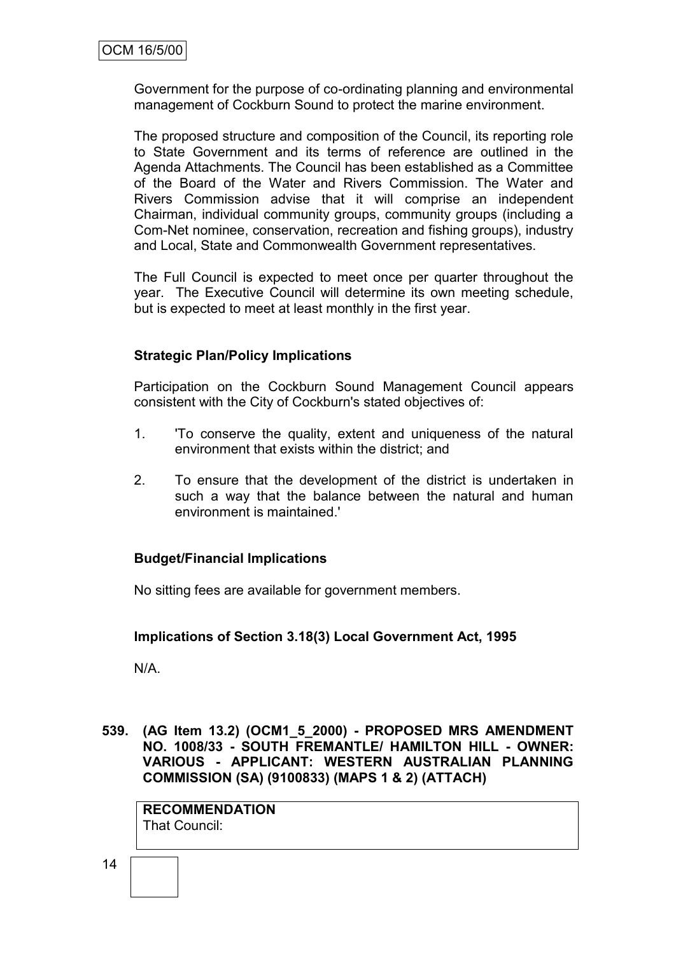Government for the purpose of co-ordinating planning and environmental management of Cockburn Sound to protect the marine environment.

The proposed structure and composition of the Council, its reporting role to State Government and its terms of reference are outlined in the Agenda Attachments. The Council has been established as a Committee of the Board of the Water and Rivers Commission. The Water and Rivers Commission advise that it will comprise an independent Chairman, individual community groups, community groups (including a Com-Net nominee, conservation, recreation and fishing groups), industry and Local, State and Commonwealth Government representatives.

The Full Council is expected to meet once per quarter throughout the year. The Executive Council will determine its own meeting schedule, but is expected to meet at least monthly in the first year.

## **Strategic Plan/Policy Implications**

Participation on the Cockburn Sound Management Council appears consistent with the City of Cockburn's stated objectives of:

- 1. 'To conserve the quality, extent and uniqueness of the natural environment that exists within the district; and
- 2. To ensure that the development of the district is undertaken in such a way that the balance between the natural and human environment is maintained.'

#### **Budget/Financial Implications**

No sitting fees are available for government members.

#### **Implications of Section 3.18(3) Local Government Act, 1995**

N/A.

**539. (AG Item 13.2) (OCM1\_5\_2000) - PROPOSED MRS AMENDMENT NO. 1008/33 - SOUTH FREMANTLE/ HAMILTON HILL - OWNER: VARIOUS - APPLICANT: WESTERN AUSTRALIAN PLANNING COMMISSION (SA) (9100833) (MAPS 1 & 2) (ATTACH)**

**RECOMMENDATION** That Council: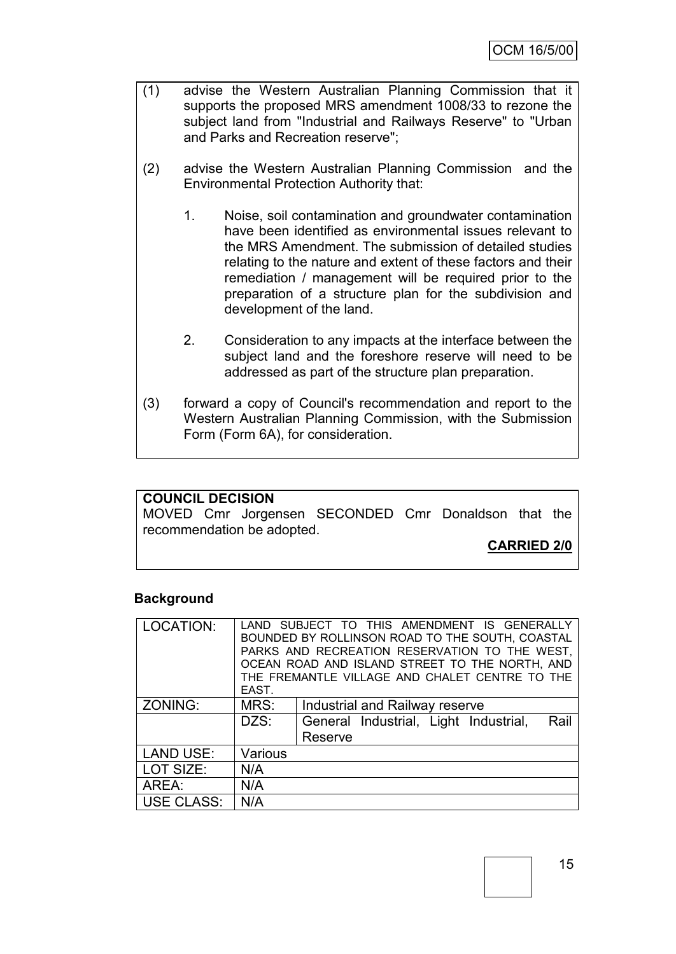- (1) advise the Western Australian Planning Commission that it supports the proposed MRS amendment 1008/33 to rezone the subject land from "Industrial and Railways Reserve" to "Urban and Parks and Recreation reserve";
- (2) advise the Western Australian Planning Commission and the Environmental Protection Authority that:
	- 1. Noise, soil contamination and groundwater contamination have been identified as environmental issues relevant to the MRS Amendment. The submission of detailed studies relating to the nature and extent of these factors and their remediation / management will be required prior to the preparation of a structure plan for the subdivision and development of the land.
	- 2. Consideration to any impacts at the interface between the subject land and the foreshore reserve will need to be addressed as part of the structure plan preparation.
- (3) forward a copy of Council's recommendation and report to the Western Australian Planning Commission, with the Submission Form (Form 6A), for consideration.

#### **COUNCIL DECISION**

MOVED Cmr Jorgensen SECONDED Cmr Donaldson that the recommendation be adopted.

**CARRIED 2/0**

#### **Background**

| LOCATION:         | EAST.   | LAND SUBJECT TO THIS AMENDMENT IS GENERALLY<br>BOUNDED BY ROLLINSON ROAD TO THE SOUTH, COASTAL<br>PARKS AND RECREATION RESERVATION TO THE WEST,<br>OCEAN ROAD AND ISLAND STREET TO THE NORTH, AND<br>THE FREMANTLE VILLAGE AND CHALET CENTRE TO THE |  |  |  |
|-------------------|---------|-----------------------------------------------------------------------------------------------------------------------------------------------------------------------------------------------------------------------------------------------------|--|--|--|
| ZONING:           | MRS:    | Industrial and Railway reserve                                                                                                                                                                                                                      |  |  |  |
|                   | DZS:    | General Industrial, Light Industrial,<br>Rail<br>Reserve                                                                                                                                                                                            |  |  |  |
| <b>LAND USE:</b>  | Various |                                                                                                                                                                                                                                                     |  |  |  |
| LOT SIZE:         | N/A     |                                                                                                                                                                                                                                                     |  |  |  |
| AREA:             | N/A     |                                                                                                                                                                                                                                                     |  |  |  |
| <b>USE CLASS:</b> | N/A     |                                                                                                                                                                                                                                                     |  |  |  |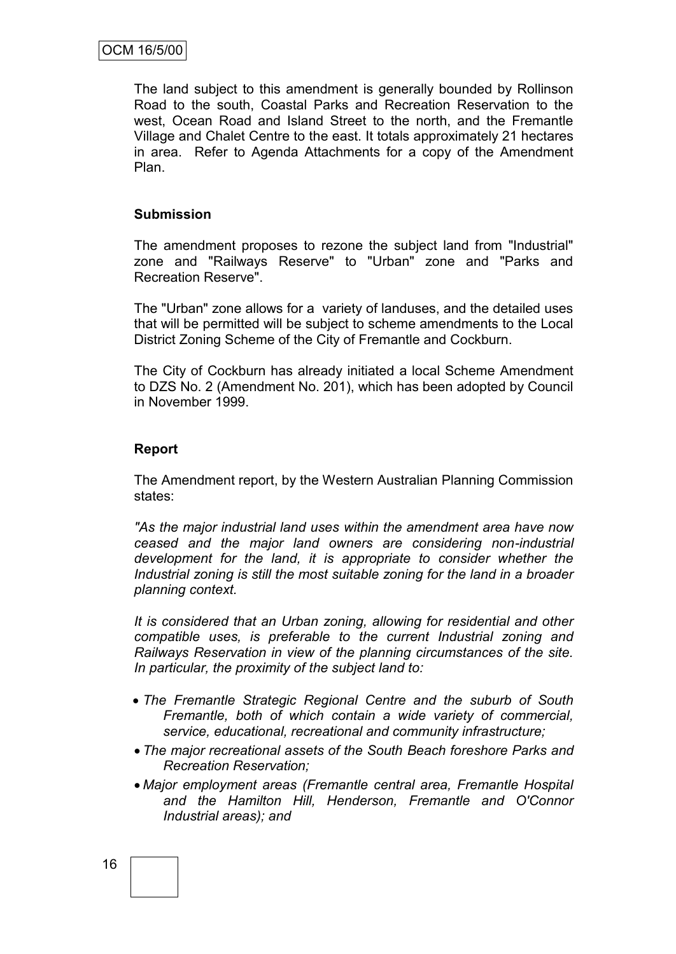The land subject to this amendment is generally bounded by Rollinson Road to the south, Coastal Parks and Recreation Reservation to the west, Ocean Road and Island Street to the north, and the Fremantle Village and Chalet Centre to the east. It totals approximately 21 hectares in area. Refer to Agenda Attachments for a copy of the Amendment Plan.

#### **Submission**

The amendment proposes to rezone the subject land from "Industrial" zone and "Railways Reserve" to "Urban" zone and "Parks and Recreation Reserve".

The "Urban" zone allows for a variety of landuses, and the detailed uses that will be permitted will be subject to scheme amendments to the Local District Zoning Scheme of the City of Fremantle and Cockburn.

The City of Cockburn has already initiated a local Scheme Amendment to DZS No. 2 (Amendment No. 201), which has been adopted by Council in November 1999.

## **Report**

The Amendment report, by the Western Australian Planning Commission states:

*"As the major industrial land uses within the amendment area have now ceased and the major land owners are considering non-industrial development for the land, it is appropriate to consider whether the Industrial zoning is still the most suitable zoning for the land in a broader planning context.*

*It is considered that an Urban zoning, allowing for residential and other compatible uses, is preferable to the current Industrial zoning and Railways Reservation in view of the planning circumstances of the site. In particular, the proximity of the subject land to:*

- *The Fremantle Strategic Regional Centre and the suburb of South Fremantle, both of which contain a wide variety of commercial, service, educational, recreational and community infrastructure;*
- *The major recreational assets of the South Beach foreshore Parks and Recreation Reservation;*
- *Major employment areas (Fremantle central area, Fremantle Hospital and the Hamilton Hill, Henderson, Fremantle and O'Connor Industrial areas); and*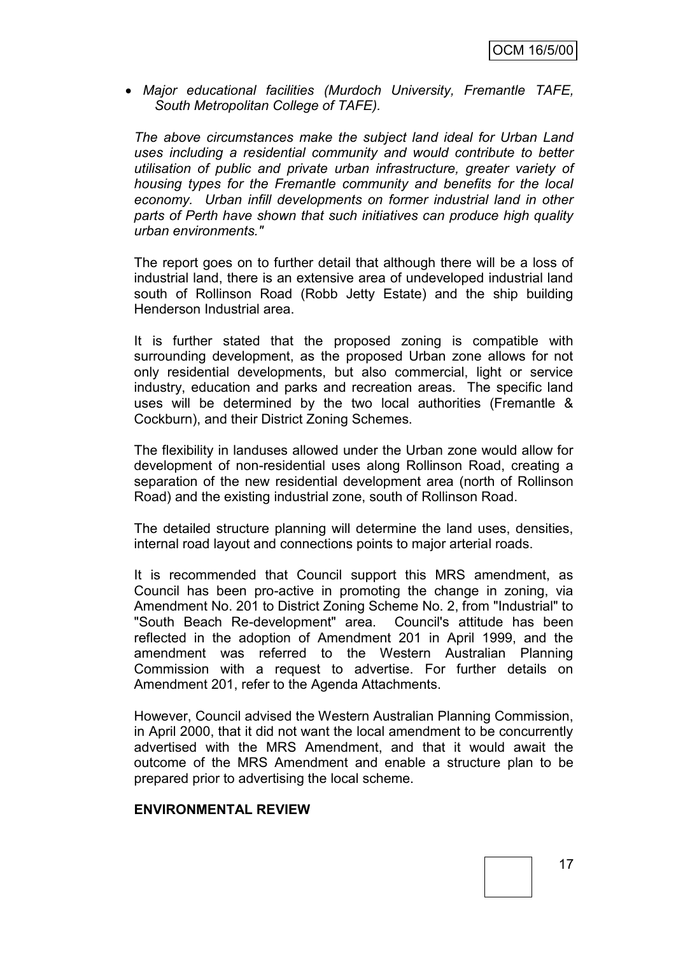*Major educational facilities (Murdoch University, Fremantle TAFE, South Metropolitan College of TAFE).*

*The above circumstances make the subject land ideal for Urban Land uses including a residential community and would contribute to better utilisation of public and private urban infrastructure, greater variety of housing types for the Fremantle community and benefits for the local economy. Urban infill developments on former industrial land in other parts of Perth have shown that such initiatives can produce high quality urban environments."*

The report goes on to further detail that although there will be a loss of industrial land, there is an extensive area of undeveloped industrial land south of Rollinson Road (Robb Jetty Estate) and the ship building Henderson Industrial area.

It is further stated that the proposed zoning is compatible with surrounding development, as the proposed Urban zone allows for not only residential developments, but also commercial, light or service industry, education and parks and recreation areas. The specific land uses will be determined by the two local authorities (Fremantle & Cockburn), and their District Zoning Schemes.

The flexibility in landuses allowed under the Urban zone would allow for development of non-residential uses along Rollinson Road, creating a separation of the new residential development area (north of Rollinson Road) and the existing industrial zone, south of Rollinson Road.

The detailed structure planning will determine the land uses, densities, internal road layout and connections points to major arterial roads.

It is recommended that Council support this MRS amendment, as Council has been pro-active in promoting the change in zoning, via Amendment No. 201 to District Zoning Scheme No. 2, from "Industrial" to "South Beach Re-development" area. Council's attitude has been reflected in the adoption of Amendment 201 in April 1999, and the amendment was referred to the Western Australian Planning Commission with a request to advertise. For further details on Amendment 201, refer to the Agenda Attachments.

However, Council advised the Western Australian Planning Commission, in April 2000, that it did not want the local amendment to be concurrently advertised with the MRS Amendment, and that it would await the outcome of the MRS Amendment and enable a structure plan to be prepared prior to advertising the local scheme.

#### **ENVIRONMENTAL REVIEW**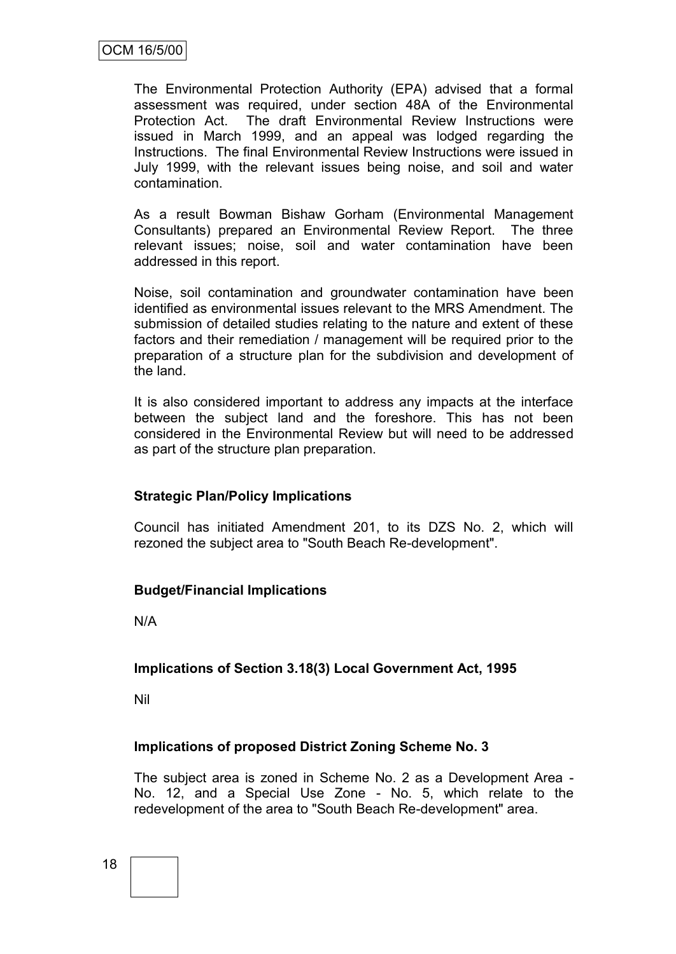The Environmental Protection Authority (EPA) advised that a formal assessment was required, under section 48A of the Environmental Protection Act. The draft Environmental Review Instructions were issued in March 1999, and an appeal was lodged regarding the Instructions. The final Environmental Review Instructions were issued in July 1999, with the relevant issues being noise, and soil and water contamination.

As a result Bowman Bishaw Gorham (Environmental Management Consultants) prepared an Environmental Review Report. The three relevant issues; noise, soil and water contamination have been addressed in this report.

Noise, soil contamination and groundwater contamination have been identified as environmental issues relevant to the MRS Amendment. The submission of detailed studies relating to the nature and extent of these factors and their remediation / management will be required prior to the preparation of a structure plan for the subdivision and development of the land.

It is also considered important to address any impacts at the interface between the subject land and the foreshore. This has not been considered in the Environmental Review but will need to be addressed as part of the structure plan preparation.

## **Strategic Plan/Policy Implications**

Council has initiated Amendment 201, to its DZS No. 2, which will rezoned the subject area to "South Beach Re-development".

## **Budget/Financial Implications**

N/A

## **Implications of Section 3.18(3) Local Government Act, 1995**

Nil

## **Implications of proposed District Zoning Scheme No. 3**

The subject area is zoned in Scheme No. 2 as a Development Area - No. 12, and a Special Use Zone - No. 5, which relate to the redevelopment of the area to "South Beach Re-development" area.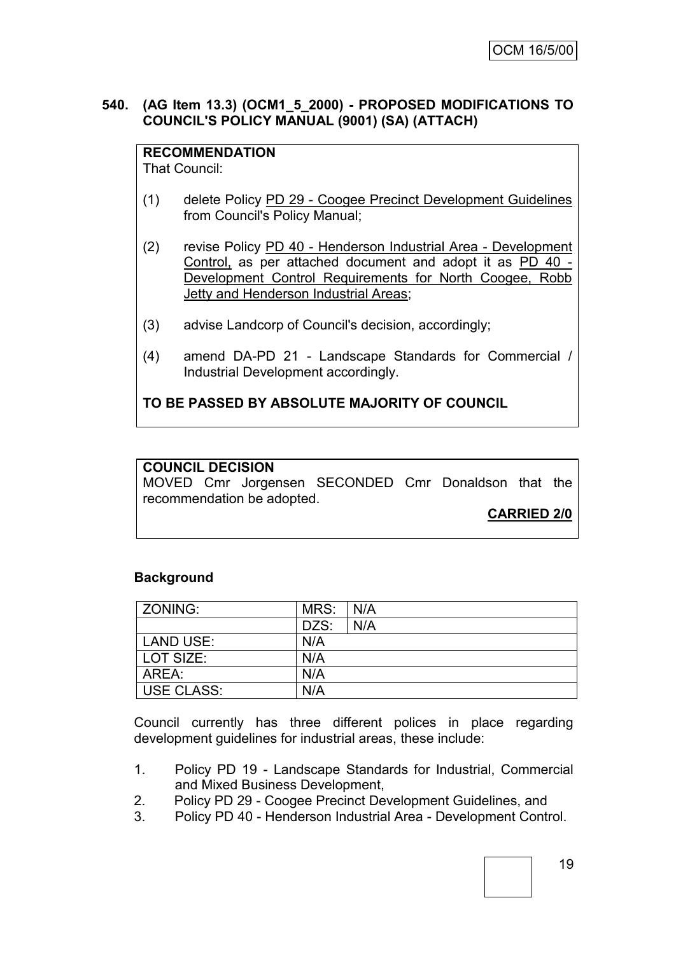### **540. (AG Item 13.3) (OCM1\_5\_2000) - PROPOSED MODIFICATIONS TO COUNCIL'S POLICY MANUAL (9001) (SA) (ATTACH)**

## **RECOMMENDATION**

That Council:

- (1) delete Policy PD 29 Coogee Precinct Development Guidelines from Council's Policy Manual;
- (2) revise Policy PD 40 Henderson Industrial Area Development Control, as per attached document and adopt it as PD 40 - Development Control Requirements for North Coogee, Robb Jetty and Henderson Industrial Areas;
- (3) advise Landcorp of Council's decision, accordingly;
- (4) amend DA-PD 21 Landscape Standards for Commercial / Industrial Development accordingly.

## **TO BE PASSED BY ABSOLUTE MAJORITY OF COUNCIL**

## **COUNCIL DECISION**

MOVED Cmr Jorgensen SECONDED Cmr Donaldson that the recommendation be adopted.

**CARRIED 2/0**

#### **Background**

| ZONING:           | MRS: | N/A |
|-------------------|------|-----|
|                   | DZS: | N/A |
| LAND USE:         | N/A  |     |
| LOT SIZE:         | N/A  |     |
| AREA:             | N/A  |     |
| <b>USE CLASS:</b> | N/A  |     |

Council currently has three different polices in place regarding development guidelines for industrial areas, these include:

- 1. Policy PD 19 Landscape Standards for Industrial, Commercial and Mixed Business Development,
- 2. Policy PD 29 Coogee Precinct Development Guidelines, and
- 3. Policy PD 40 Henderson Industrial Area Development Control.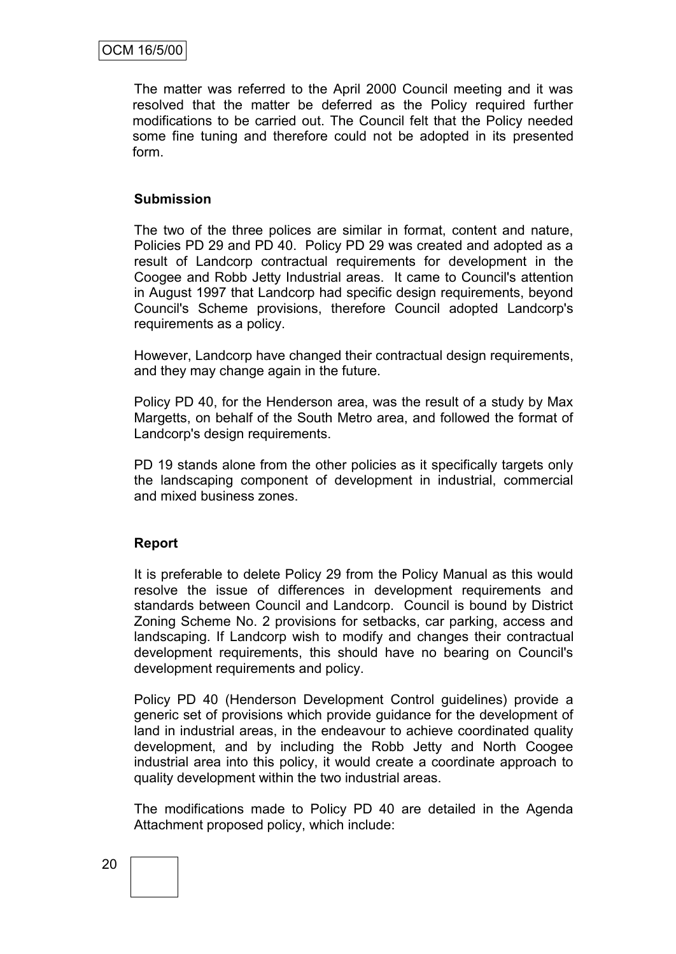The matter was referred to the April 2000 Council meeting and it was resolved that the matter be deferred as the Policy required further modifications to be carried out. The Council felt that the Policy needed some fine tuning and therefore could not be adopted in its presented form.

#### **Submission**

The two of the three polices are similar in format, content and nature, Policies PD 29 and PD 40. Policy PD 29 was created and adopted as a result of Landcorp contractual requirements for development in the Coogee and Robb Jetty Industrial areas. It came to Council's attention in August 1997 that Landcorp had specific design requirements, beyond Council's Scheme provisions, therefore Council adopted Landcorp's requirements as a policy.

However, Landcorp have changed their contractual design requirements, and they may change again in the future.

Policy PD 40, for the Henderson area, was the result of a study by Max Margetts, on behalf of the South Metro area, and followed the format of Landcorp's design requirements.

PD 19 stands alone from the other policies as it specifically targets only the landscaping component of development in industrial, commercial and mixed business zones.

#### **Report**

It is preferable to delete Policy 29 from the Policy Manual as this would resolve the issue of differences in development requirements and standards between Council and Landcorp. Council is bound by District Zoning Scheme No. 2 provisions for setbacks, car parking, access and landscaping. If Landcorp wish to modify and changes their contractual development requirements, this should have no bearing on Council's development requirements and policy.

Policy PD 40 (Henderson Development Control guidelines) provide a generic set of provisions which provide guidance for the development of land in industrial areas, in the endeavour to achieve coordinated quality development, and by including the Robb Jetty and North Coogee industrial area into this policy, it would create a coordinate approach to quality development within the two industrial areas.

The modifications made to Policy PD 40 are detailed in the Agenda Attachment proposed policy, which include: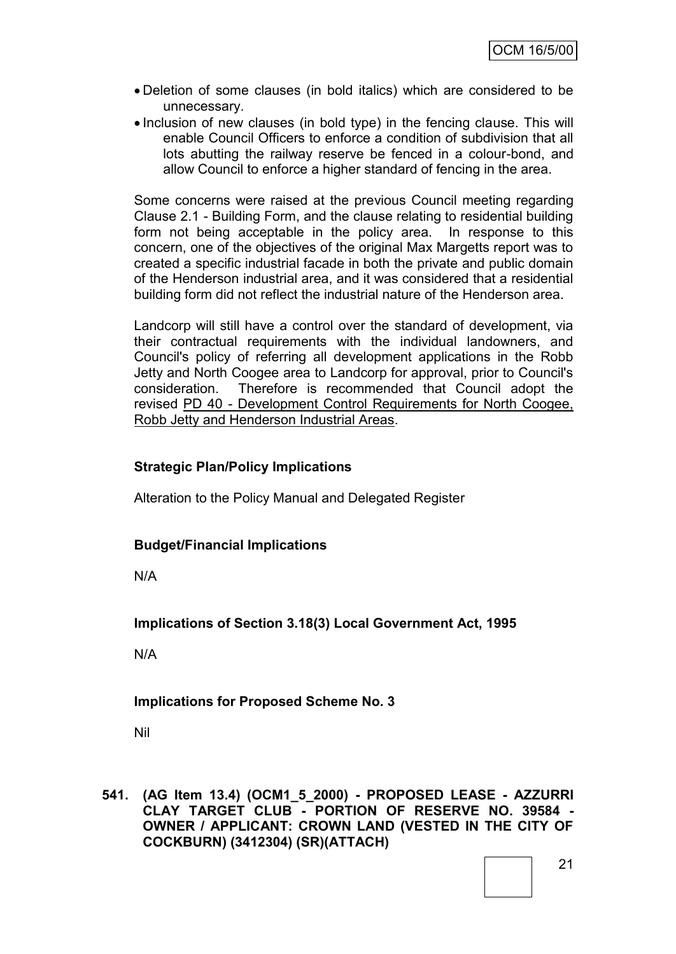- Deletion of some clauses (in bold italics) which are considered to be unnecessary.
- Inclusion of new clauses (in bold type) in the fencing clause. This will enable Council Officers to enforce a condition of subdivision that all lots abutting the railway reserve be fenced in a colour-bond, and allow Council to enforce a higher standard of fencing in the area.

Some concerns were raised at the previous Council meeting regarding Clause 2.1 - Building Form, and the clause relating to residential building form not being acceptable in the policy area. In response to this concern, one of the objectives of the original Max Margetts report was to created a specific industrial facade in both the private and public domain of the Henderson industrial area, and it was considered that a residential building form did not reflect the industrial nature of the Henderson area.

Landcorp will still have a control over the standard of development, via their contractual requirements with the individual landowners, and Council's policy of referring all development applications in the Robb Jetty and North Coogee area to Landcorp for approval, prior to Council's consideration. Therefore is recommended that Council adopt the revised PD 40 - Development Control Requirements for North Coogee, Robb Jetty and Henderson Industrial Areas.

## **Strategic Plan/Policy Implications**

Alteration to the Policy Manual and Delegated Register

#### **Budget/Financial Implications**

N/A

**Implications of Section 3.18(3) Local Government Act, 1995**

N/A

## **Implications for Proposed Scheme No. 3**

Nil

**541. (AG Item 13.4) (OCM1\_5\_2000) - PROPOSED LEASE - AZZURRI CLAY TARGET CLUB - PORTION OF RESERVE NO. 39584 - OWNER / APPLICANT: CROWN LAND (VESTED IN THE CITY OF COCKBURN) (3412304) (SR)(ATTACH)**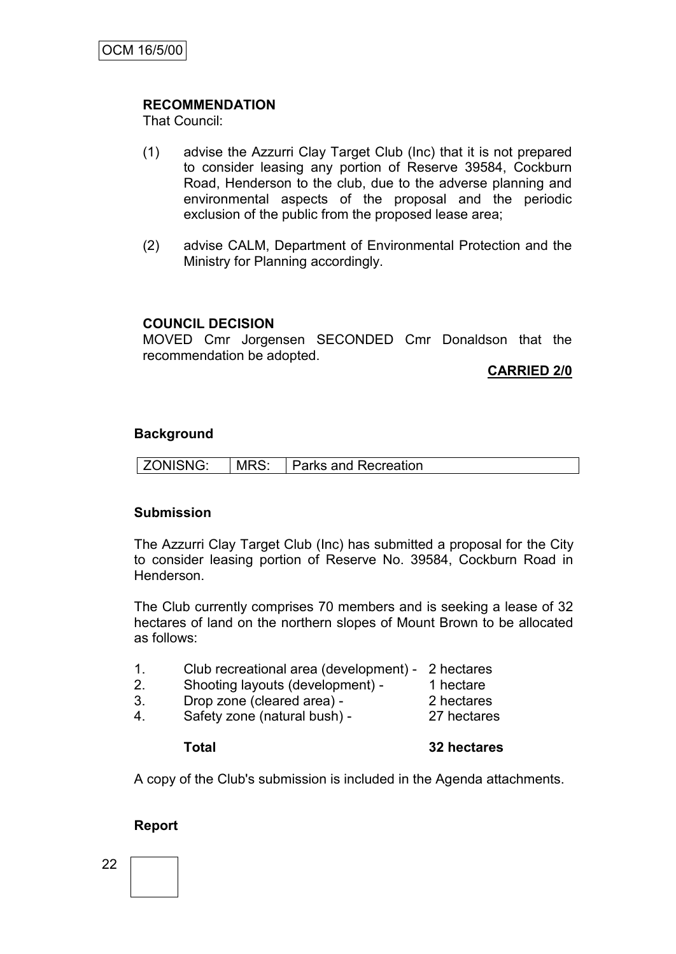## **RECOMMENDATION**

That Council:

- (1) advise the Azzurri Clay Target Club (Inc) that it is not prepared to consider leasing any portion of Reserve 39584, Cockburn Road, Henderson to the club, due to the adverse planning and environmental aspects of the proposal and the periodic exclusion of the public from the proposed lease area;
- (2) advise CALM, Department of Environmental Protection and the Ministry for Planning accordingly.

## **COUNCIL DECISION**

MOVED Cmr Jorgensen SECONDED Cmr Donaldson that the recommendation be adopted.

**CARRIED 2/0**

#### **Background**

| <b>ZONISNG:</b> | MRS: | Parks and Recreation |
|-----------------|------|----------------------|
|-----------------|------|----------------------|

#### **Submission**

The Azzurri Clay Target Club (Inc) has submitted a proposal for the City to consider leasing portion of Reserve No. 39584, Cockburn Road in Henderson.

The Club currently comprises 70 members and is seeking a lease of 32 hectares of land on the northern slopes of Mount Brown to be allocated as follows:

- 1. Club recreational area (development) 2 hectares
- 2. Shooting layouts (development) 1 hectare
- 3. Drop zone (cleared area) 2 hectares
- -
- 4. Safety zone (natural bush) 27 hectares

#### **Total 32 hectares**

A copy of the Club's submission is included in the Agenda attachments.

#### **Report**

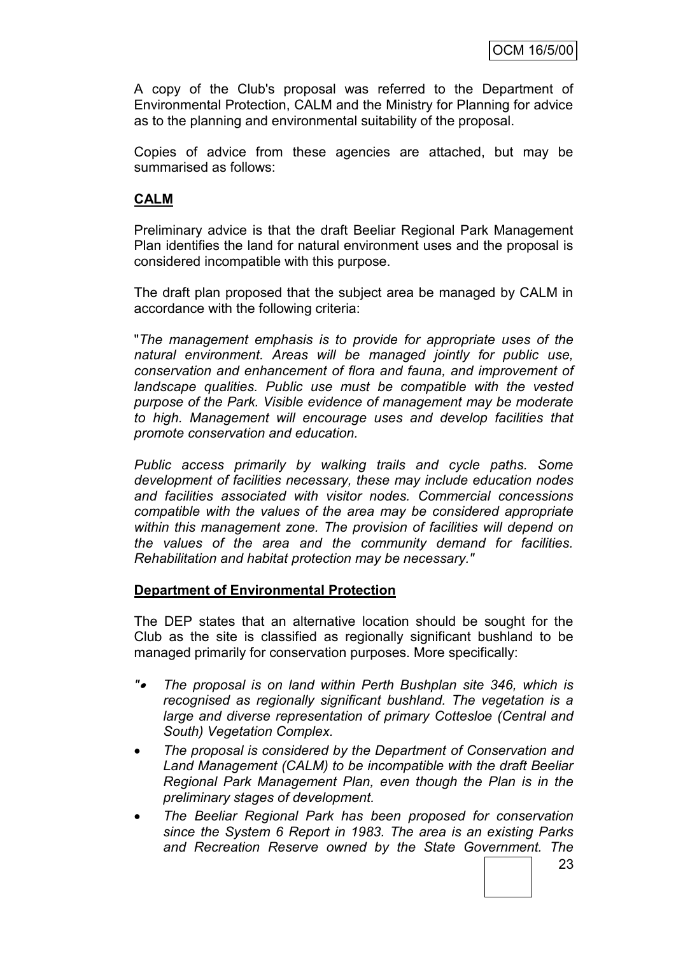A copy of the Club's proposal was referred to the Department of Environmental Protection, CALM and the Ministry for Planning for advice as to the planning and environmental suitability of the proposal.

Copies of advice from these agencies are attached, but may be summarised as follows:

## **CALM**

Preliminary advice is that the draft Beeliar Regional Park Management Plan identifies the land for natural environment uses and the proposal is considered incompatible with this purpose.

The draft plan proposed that the subject area be managed by CALM in accordance with the following criteria:

"*The management emphasis is to provide for appropriate uses of the natural environment. Areas will be managed jointly for public use, conservation and enhancement of flora and fauna, and improvement of landscape qualities. Public use must be compatible with the vested purpose of the Park. Visible evidence of management may be moderate to high. Management will encourage uses and develop facilities that promote conservation and education.*

*Public access primarily by walking trails and cycle paths. Some development of facilities necessary, these may include education nodes and facilities associated with visitor nodes. Commercial concessions compatible with the values of the area may be considered appropriate within this management zone. The provision of facilities will depend on the values of the area and the community demand for facilities. Rehabilitation and habitat protection may be necessary."*

#### **Department of Environmental Protection**

The DEP states that an alternative location should be sought for the Club as the site is classified as regionally significant bushland to be managed primarily for conservation purposes. More specifically:

- *" The proposal is on land within Perth Bushplan site 346, which is recognised as regionally significant bushland. The vegetation is a large and diverse representation of primary Cottesloe (Central and South) Vegetation Complex.*
- *The proposal is considered by the Department of Conservation and Land Management (CALM) to be incompatible with the draft Beeliar Regional Park Management Plan, even though the Plan is in the preliminary stages of development.*
- *The Beeliar Regional Park has been proposed for conservation since the System 6 Report in 1983. The area is an existing Parks and Recreation Reserve owned by the State Government. The*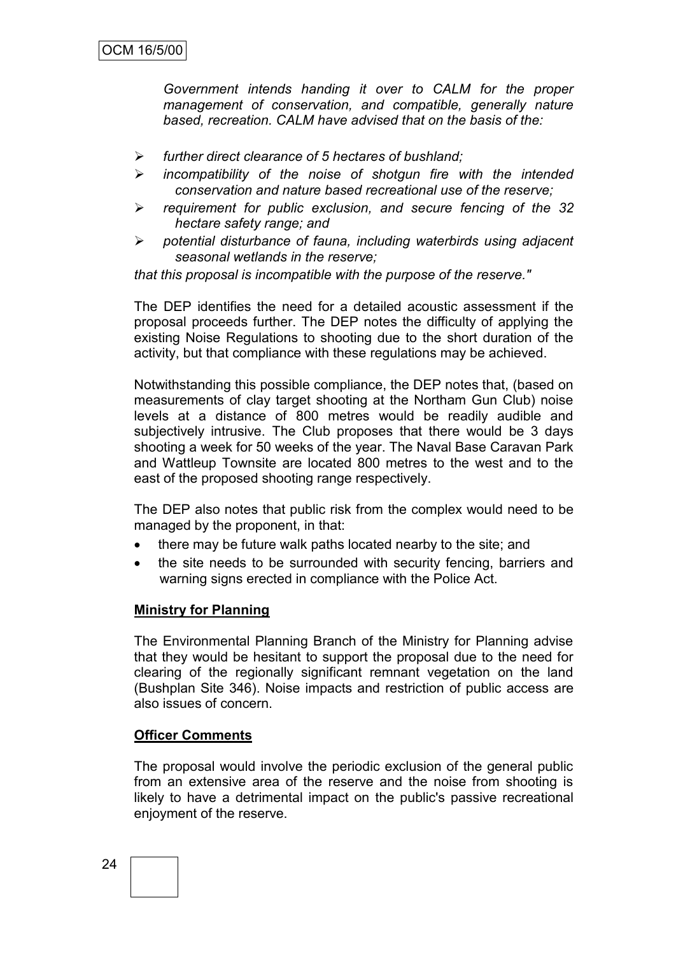*Government intends handing it over to CALM for the proper management of conservation, and compatible, generally nature based, recreation. CALM have advised that on the basis of the:*

- *further direct clearance of 5 hectares of bushland;*
- *incompatibility of the noise of shotgun fire with the intended conservation and nature based recreational use of the reserve;*
- *requirement for public exclusion, and secure fencing of the 32 hectare safety range; and*
- *potential disturbance of fauna, including waterbirds using adjacent seasonal wetlands in the reserve;*

*that this proposal is incompatible with the purpose of the reserve."*

The DEP identifies the need for a detailed acoustic assessment if the proposal proceeds further. The DEP notes the difficulty of applying the existing Noise Regulations to shooting due to the short duration of the activity, but that compliance with these regulations may be achieved.

Notwithstanding this possible compliance, the DEP notes that, (based on measurements of clay target shooting at the Northam Gun Club) noise levels at a distance of 800 metres would be readily audible and subjectively intrusive. The Club proposes that there would be 3 days shooting a week for 50 weeks of the year. The Naval Base Caravan Park and Wattleup Townsite are located 800 metres to the west and to the east of the proposed shooting range respectively.

The DEP also notes that public risk from the complex would need to be managed by the proponent, in that:

- there may be future walk paths located nearby to the site; and
- the site needs to be surrounded with security fencing, barriers and warning signs erected in compliance with the Police Act.

#### **Ministry for Planning**

The Environmental Planning Branch of the Ministry for Planning advise that they would be hesitant to support the proposal due to the need for clearing of the regionally significant remnant vegetation on the land (Bushplan Site 346). Noise impacts and restriction of public access are also issues of concern.

#### **Officer Comments**

The proposal would involve the periodic exclusion of the general public from an extensive area of the reserve and the noise from shooting is likely to have a detrimental impact on the public's passive recreational enjoyment of the reserve.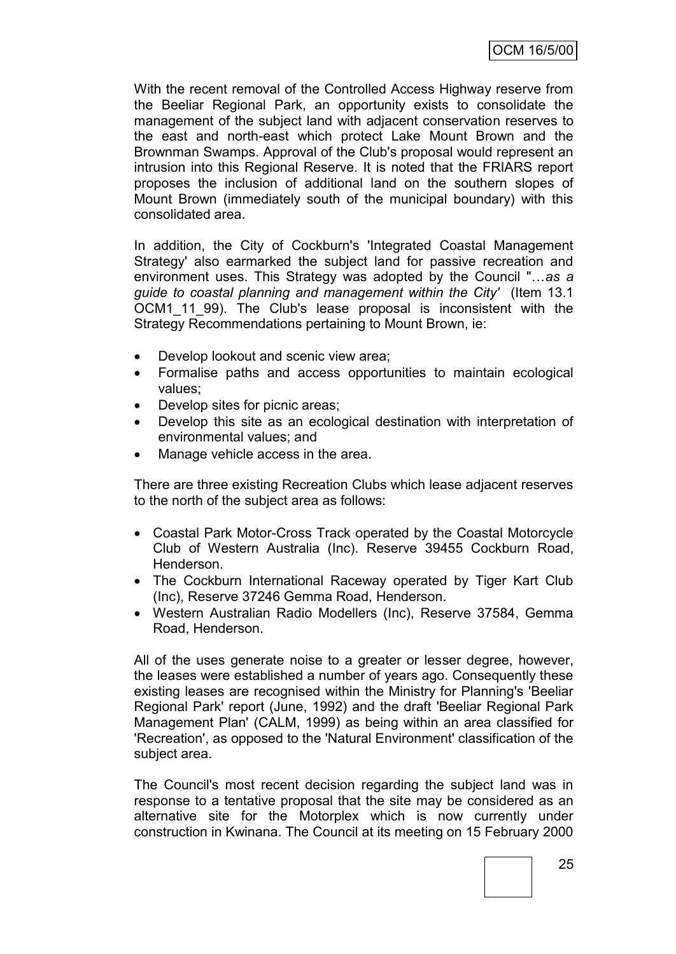With the recent removal of the Controlled Access Highway reserve from the Beeliar Regional Park, an opportunity exists to consolidate the management of the subject land with adjacent conservation reserves to the east and north-east which protect Lake Mount Brown and the Brownman Swamps. Approval of the Club's proposal would represent an intrusion into this Regional Reserve. It is noted that the FRIARS report proposes the inclusion of additional land on the southern slopes of Mount Brown (immediately south of the municipal boundary) with this consolidated area.

In addition, the City of Cockburn's 'Integrated Coastal Management Strategy' also earmarked the subject land for passive recreation and environment uses. This Strategy was adopted by the Council "…*as a guide to coastal planning and management within the City'* (Item 13.1 OCM1 11 99). The Club's lease proposal is inconsistent with the Strategy Recommendations pertaining to Mount Brown, ie:

- Develop lookout and scenic view area;
- Formalise paths and access opportunities to maintain ecological values;
- Develop sites for picnic areas;
- Develop this site as an ecological destination with interpretation of environmental values; and
- Manage vehicle access in the area.

There are three existing Recreation Clubs which lease adjacent reserves to the north of the subject area as follows:

- Coastal Park Motor-Cross Track operated by the Coastal Motorcycle Club of Western Australia (Inc). Reserve 39455 Cockburn Road, Henderson.
- The Cockburn International Raceway operated by Tiger Kart Club (Inc), Reserve 37246 Gemma Road, Henderson.
- Western Australian Radio Modellers (Inc), Reserve 37584, Gemma Road, Henderson.

All of the uses generate noise to a greater or lesser degree, however, the leases were established a number of years ago. Consequently these existing leases are recognised within the Ministry for Planning's 'Beeliar Regional Park' report (June, 1992) and the draft 'Beeliar Regional Park Management Plan' (CALM, 1999) as being within an area classified for 'Recreation', as opposed to the 'Natural Environment' classification of the subject area.

The Council's most recent decision regarding the subject land was in response to a tentative proposal that the site may be considered as an alternative site for the Motorplex which is now currently under construction in Kwinana. The Council at its meeting on 15 February 2000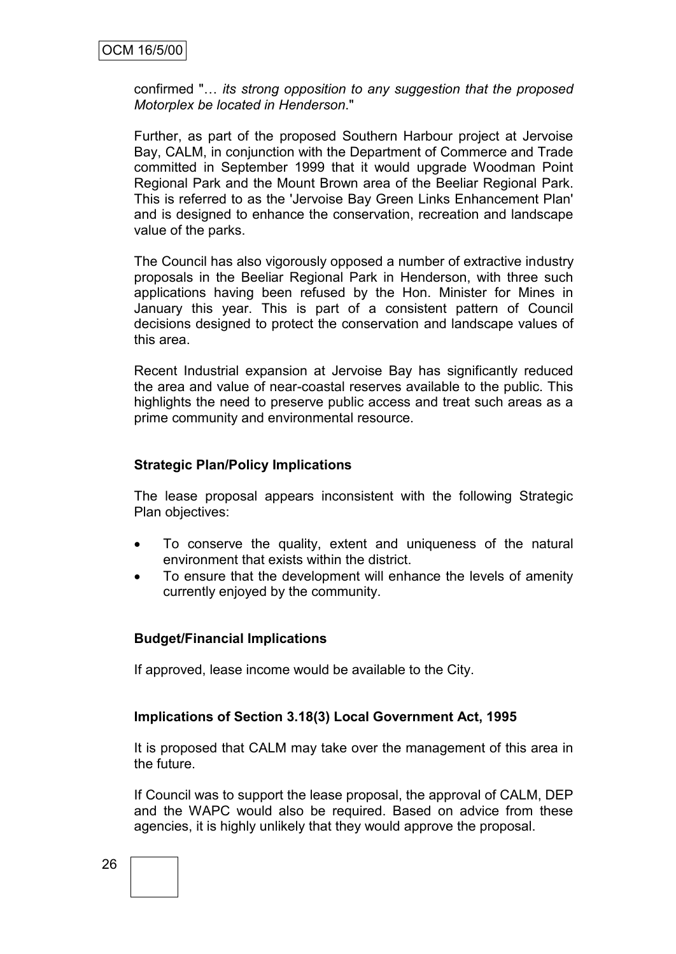confirmed "… *its strong opposition to any suggestion that the proposed Motorplex be located in Henderson*."

Further, as part of the proposed Southern Harbour project at Jervoise Bay, CALM, in conjunction with the Department of Commerce and Trade committed in September 1999 that it would upgrade Woodman Point Regional Park and the Mount Brown area of the Beeliar Regional Park. This is referred to as the 'Jervoise Bay Green Links Enhancement Plan' and is designed to enhance the conservation, recreation and landscape value of the parks.

The Council has also vigorously opposed a number of extractive industry proposals in the Beeliar Regional Park in Henderson, with three such applications having been refused by the Hon. Minister for Mines in January this year. This is part of a consistent pattern of Council decisions designed to protect the conservation and landscape values of this area.

Recent Industrial expansion at Jervoise Bay has significantly reduced the area and value of near-coastal reserves available to the public. This highlights the need to preserve public access and treat such areas as a prime community and environmental resource.

#### **Strategic Plan/Policy Implications**

The lease proposal appears inconsistent with the following Strategic Plan objectives:

- To conserve the quality, extent and uniqueness of the natural environment that exists within the district.
- To ensure that the development will enhance the levels of amenity currently enjoyed by the community.

#### **Budget/Financial Implications**

If approved, lease income would be available to the City.

#### **Implications of Section 3.18(3) Local Government Act, 1995**

It is proposed that CALM may take over the management of this area in the future.

If Council was to support the lease proposal, the approval of CALM, DEP and the WAPC would also be required. Based on advice from these agencies, it is highly unlikely that they would approve the proposal.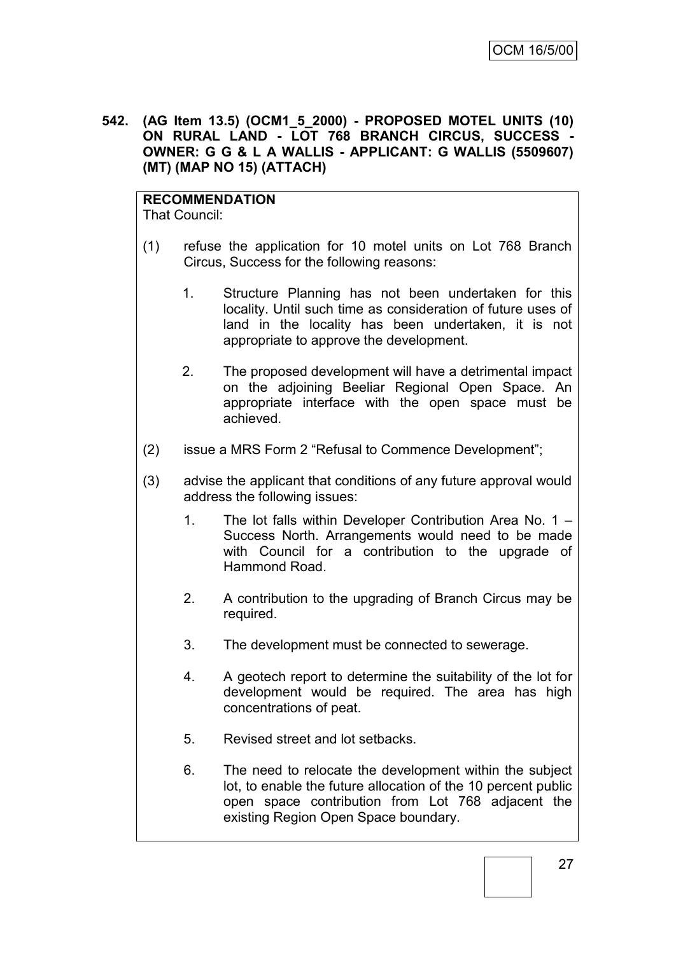**542. (AG Item 13.5) (OCM1\_5\_2000) - PROPOSED MOTEL UNITS (10) ON RURAL LAND - LOT 768 BRANCH CIRCUS, SUCCESS - OWNER: G G & L A WALLIS - APPLICANT: G WALLIS (5509607) (MT) (MAP NO 15) (ATTACH)**

**RECOMMENDATION** That Council:

- (1) refuse the application for 10 motel units on Lot 768 Branch Circus, Success for the following reasons:
	- 1. Structure Planning has not been undertaken for this locality. Until such time as consideration of future uses of land in the locality has been undertaken, it is not appropriate to approve the development.
	- 2. The proposed development will have a detrimental impact on the adjoining Beeliar Regional Open Space. An appropriate interface with the open space must be achieved.
- (2) issue a MRS Form 2 "Refusal to Commence Development";
- (3) advise the applicant that conditions of any future approval would address the following issues:
	- 1. The lot falls within Developer Contribution Area No. 1 Success North. Arrangements would need to be made with Council for a contribution to the upgrade of Hammond Road.
	- 2. A contribution to the upgrading of Branch Circus may be required.
	- 3. The development must be connected to sewerage.
	- 4. A geotech report to determine the suitability of the lot for development would be required. The area has high concentrations of peat.
	- 5. Revised street and lot setbacks.
	- 6. The need to relocate the development within the subject lot, to enable the future allocation of the 10 percent public open space contribution from Lot 768 adjacent the existing Region Open Space boundary.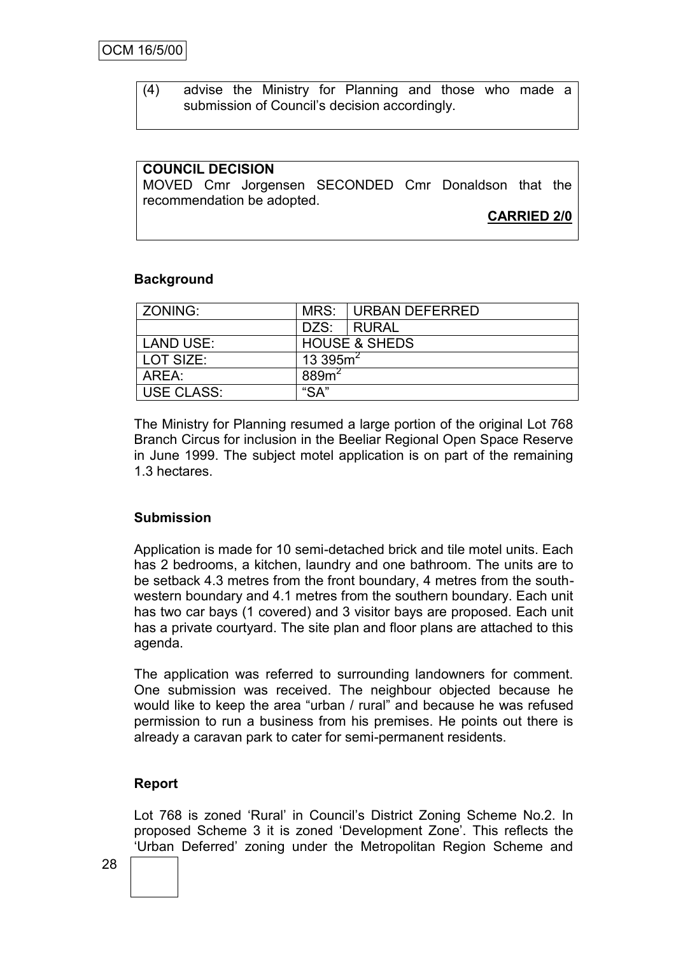(4) advise the Ministry for Planning and those who made a submission of Council's decision accordingly.

#### **COUNCIL DECISION**

MOVED Cmr Jorgensen SECONDED Cmr Donaldson that the recommendation be adopted.

**CARRIED 2/0**

#### **Background**

| ZONING:           | MRS:             | URBAN DEFERRED           |
|-------------------|------------------|--------------------------|
|                   |                  | DZS: RURAL               |
| <b>LAND USE:</b>  |                  | <b>HOUSE &amp; SHEDS</b> |
| LOT SIZE:         | 13 395 $m2$      |                          |
| AREA:             | 889 <sup>2</sup> |                          |
| <b>USE CLASS:</b> | "SA"             |                          |

The Ministry for Planning resumed a large portion of the original Lot 768 Branch Circus for inclusion in the Beeliar Regional Open Space Reserve in June 1999. The subject motel application is on part of the remaining 1.3 hectares.

#### **Submission**

Application is made for 10 semi-detached brick and tile motel units. Each has 2 bedrooms, a kitchen, laundry and one bathroom. The units are to be setback 4.3 metres from the front boundary, 4 metres from the southwestern boundary and 4.1 metres from the southern boundary. Each unit has two car bays (1 covered) and 3 visitor bays are proposed. Each unit has a private courtyard. The site plan and floor plans are attached to this agenda.

The application was referred to surrounding landowners for comment. One submission was received. The neighbour objected because he would like to keep the area "urban / rural" and because he was refused permission to run a business from his premises. He points out there is already a caravan park to cater for semi-permanent residents.

#### **Report**

Lot 768 is zoned "Rural" in Council"s District Zoning Scheme No.2. In proposed Scheme 3 it is zoned "Development Zone". This reflects the "Urban Deferred" zoning under the Metropolitan Region Scheme and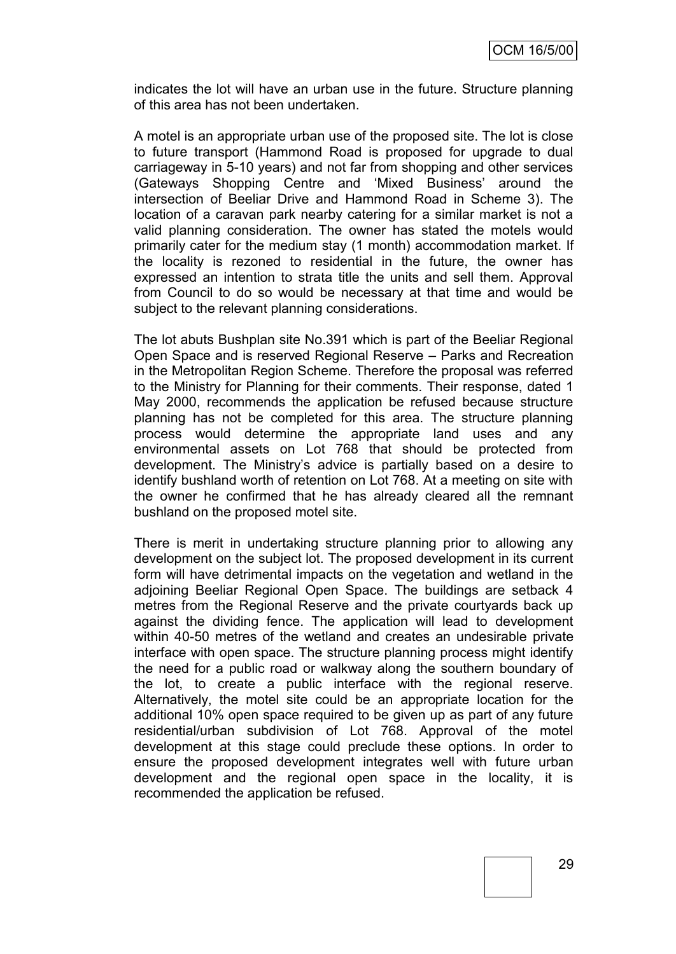indicates the lot will have an urban use in the future. Structure planning of this area has not been undertaken.

A motel is an appropriate urban use of the proposed site. The lot is close to future transport (Hammond Road is proposed for upgrade to dual carriageway in 5-10 years) and not far from shopping and other services (Gateways Shopping Centre and "Mixed Business" around the intersection of Beeliar Drive and Hammond Road in Scheme 3). The location of a caravan park nearby catering for a similar market is not a valid planning consideration. The owner has stated the motels would primarily cater for the medium stay (1 month) accommodation market. If the locality is rezoned to residential in the future, the owner has expressed an intention to strata title the units and sell them. Approval from Council to do so would be necessary at that time and would be subject to the relevant planning considerations.

The lot abuts Bushplan site No.391 which is part of the Beeliar Regional Open Space and is reserved Regional Reserve – Parks and Recreation in the Metropolitan Region Scheme. Therefore the proposal was referred to the Ministry for Planning for their comments. Their response, dated 1 May 2000, recommends the application be refused because structure planning has not be completed for this area. The structure planning process would determine the appropriate land uses and any environmental assets on Lot 768 that should be protected from development. The Ministry"s advice is partially based on a desire to identify bushland worth of retention on Lot 768. At a meeting on site with the owner he confirmed that he has already cleared all the remnant bushland on the proposed motel site.

There is merit in undertaking structure planning prior to allowing any development on the subject lot. The proposed development in its current form will have detrimental impacts on the vegetation and wetland in the adjoining Beeliar Regional Open Space. The buildings are setback 4 metres from the Regional Reserve and the private courtyards back up against the dividing fence. The application will lead to development within 40-50 metres of the wetland and creates an undesirable private interface with open space. The structure planning process might identify the need for a public road or walkway along the southern boundary of the lot, to create a public interface with the regional reserve. Alternatively, the motel site could be an appropriate location for the additional 10% open space required to be given up as part of any future residential/urban subdivision of Lot 768. Approval of the motel development at this stage could preclude these options. In order to ensure the proposed development integrates well with future urban development and the regional open space in the locality, it is recommended the application be refused.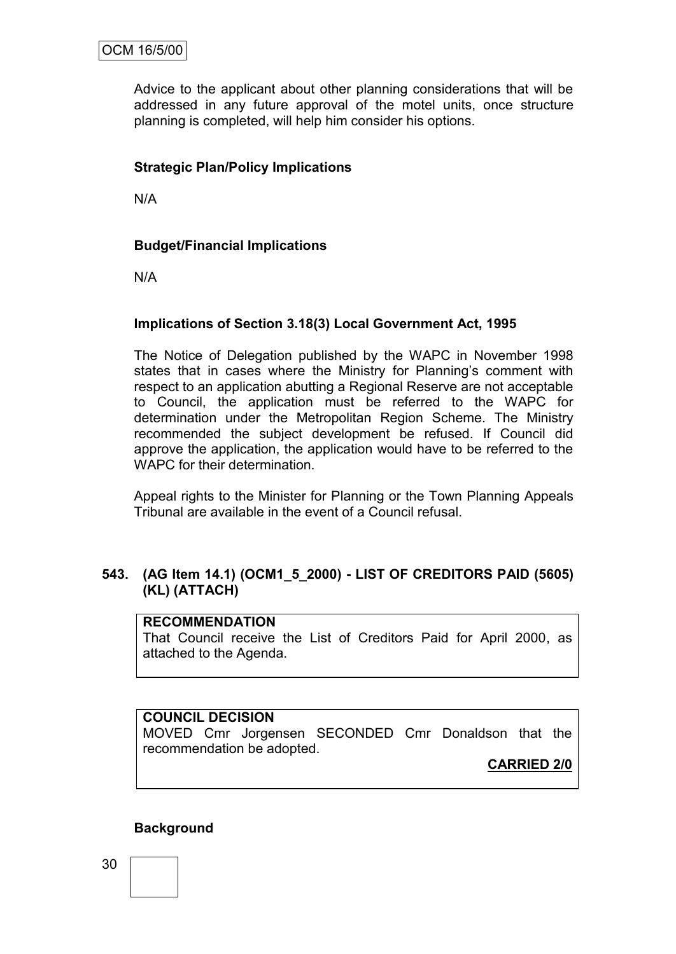Advice to the applicant about other planning considerations that will be addressed in any future approval of the motel units, once structure planning is completed, will help him consider his options.

## **Strategic Plan/Policy Implications**

N/A

#### **Budget/Financial Implications**

N/A

#### **Implications of Section 3.18(3) Local Government Act, 1995**

The Notice of Delegation published by the WAPC in November 1998 states that in cases where the Ministry for Planning's comment with respect to an application abutting a Regional Reserve are not acceptable to Council, the application must be referred to the WAPC for determination under the Metropolitan Region Scheme. The Ministry recommended the subject development be refused. If Council did approve the application, the application would have to be referred to the WAPC for their determination.

Appeal rights to the Minister for Planning or the Town Planning Appeals Tribunal are available in the event of a Council refusal.

## **543. (AG Item 14.1) (OCM1\_5\_2000) - LIST OF CREDITORS PAID (5605) (KL) (ATTACH)**

#### **RECOMMENDATION**

That Council receive the List of Creditors Paid for April 2000, as attached to the Agenda.

#### **COUNCIL DECISION**

MOVED Cmr Jorgensen SECONDED Cmr Donaldson that the recommendation be adopted.

**CARRIED 2/0**

#### **Background**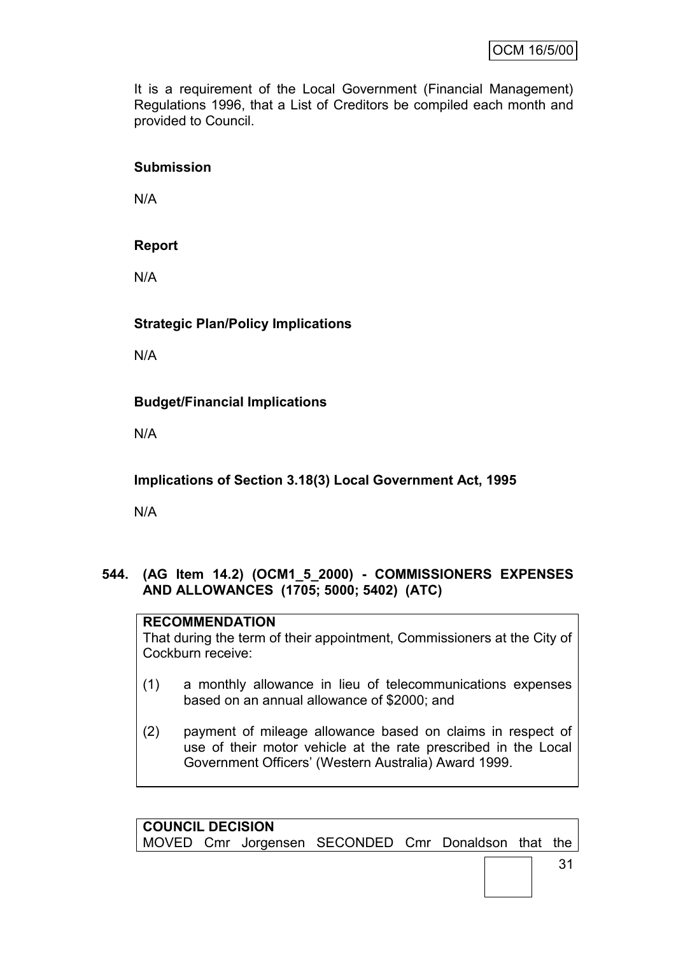It is a requirement of the Local Government (Financial Management) Regulations 1996, that a List of Creditors be compiled each month and provided to Council.

## **Submission**

N/A

## **Report**

N/A

**Strategic Plan/Policy Implications**

N/A

## **Budget/Financial Implications**

N/A

**Implications of Section 3.18(3) Local Government Act, 1995**

N/A

**544. (AG Item 14.2) (OCM1\_5\_2000) - COMMISSIONERS EXPENSES AND ALLOWANCES (1705; 5000; 5402) (ATC)**

## **RECOMMENDATION**

That during the term of their appointment, Commissioners at the City of Cockburn receive:

- (1) a monthly allowance in lieu of telecommunications expenses based on an annual allowance of \$2000; and
- (2) payment of mileage allowance based on claims in respect of use of their motor vehicle at the rate prescribed in the Local Government Officers" (Western Australia) Award 1999.

**COUNCIL DECISION** MOVED Cmr Jorgensen SECONDED Cmr Donaldson that the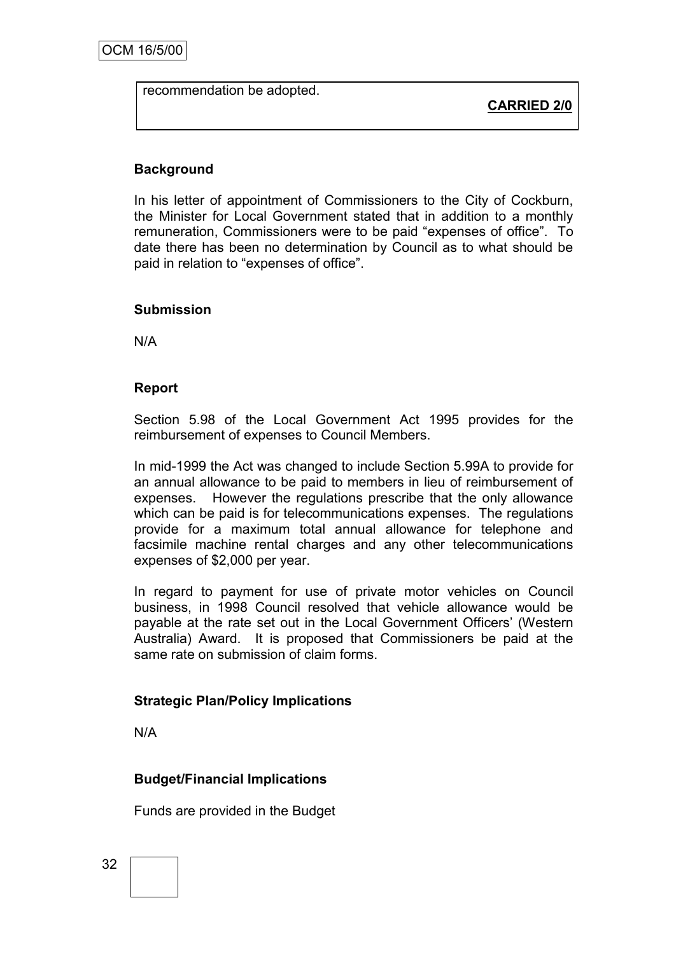recommendation be adopted.

**CARRIED 2/0**

## **Background**

In his letter of appointment of Commissioners to the City of Cockburn, the Minister for Local Government stated that in addition to a monthly remuneration, Commissioners were to be paid "expenses of office". To date there has been no determination by Council as to what should be paid in relation to "expenses of office".

#### **Submission**

N/A

#### **Report**

Section 5.98 of the Local Government Act 1995 provides for the reimbursement of expenses to Council Members.

In mid-1999 the Act was changed to include Section 5.99A to provide for an annual allowance to be paid to members in lieu of reimbursement of expenses. However the regulations prescribe that the only allowance which can be paid is for telecommunications expenses. The regulations provide for a maximum total annual allowance for telephone and facsimile machine rental charges and any other telecommunications expenses of \$2,000 per year.

In regard to payment for use of private motor vehicles on Council business, in 1998 Council resolved that vehicle allowance would be payable at the rate set out in the Local Government Officers" (Western Australia) Award. It is proposed that Commissioners be paid at the same rate on submission of claim forms.

#### **Strategic Plan/Policy Implications**

N/A

## **Budget/Financial Implications**

Funds are provided in the Budget

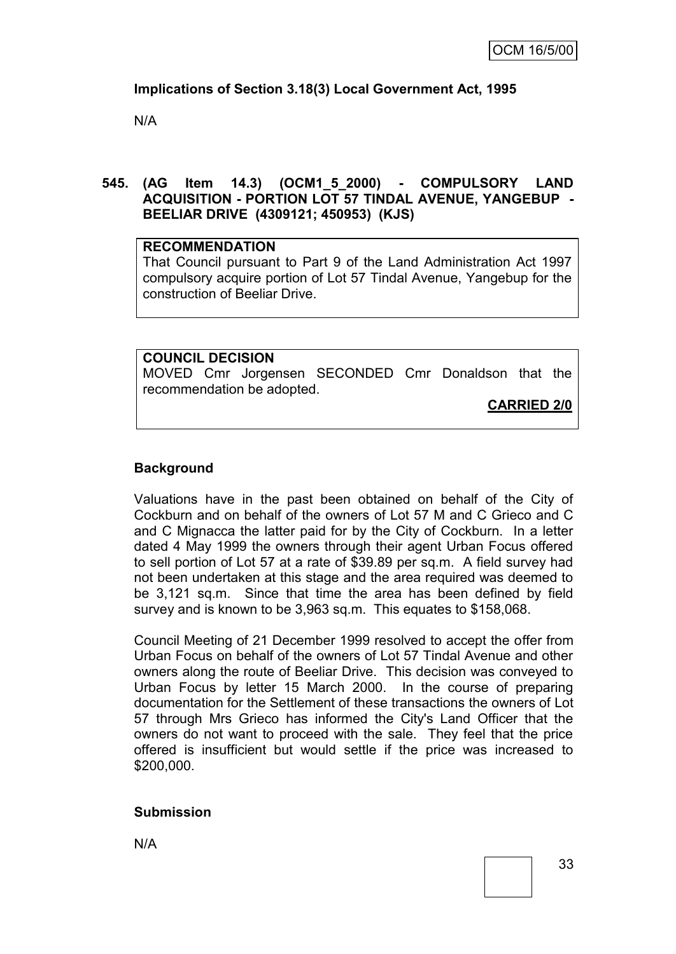## **Implications of Section 3.18(3) Local Government Act, 1995**

N/A

#### **545. (AG Item 14.3) (OCM1\_5\_2000) - COMPULSORY LAND ACQUISITION - PORTION LOT 57 TINDAL AVENUE, YANGEBUP - BEELIAR DRIVE (4309121; 450953) (KJS)**

#### **RECOMMENDATION**

That Council pursuant to Part 9 of the Land Administration Act 1997 compulsory acquire portion of Lot 57 Tindal Avenue, Yangebup for the construction of Beeliar Drive.

## **COUNCIL DECISION** MOVED Cmr Jorgensen SECONDED Cmr Donaldson that the recommendation be adopted.

**CARRIED 2/0**

#### **Background**

Valuations have in the past been obtained on behalf of the City of Cockburn and on behalf of the owners of Lot 57 M and C Grieco and C and C Mignacca the latter paid for by the City of Cockburn. In a letter dated 4 May 1999 the owners through their agent Urban Focus offered to sell portion of Lot 57 at a rate of \$39.89 per sq.m. A field survey had not been undertaken at this stage and the area required was deemed to be 3,121 sq.m. Since that time the area has been defined by field survey and is known to be 3,963 sq.m. This equates to \$158,068.

Council Meeting of 21 December 1999 resolved to accept the offer from Urban Focus on behalf of the owners of Lot 57 Tindal Avenue and other owners along the route of Beeliar Drive. This decision was conveyed to Urban Focus by letter 15 March 2000. In the course of preparing documentation for the Settlement of these transactions the owners of Lot 57 through Mrs Grieco has informed the City's Land Officer that the owners do not want to proceed with the sale. They feel that the price offered is insufficient but would settle if the price was increased to \$200,000.

#### **Submission**

N/A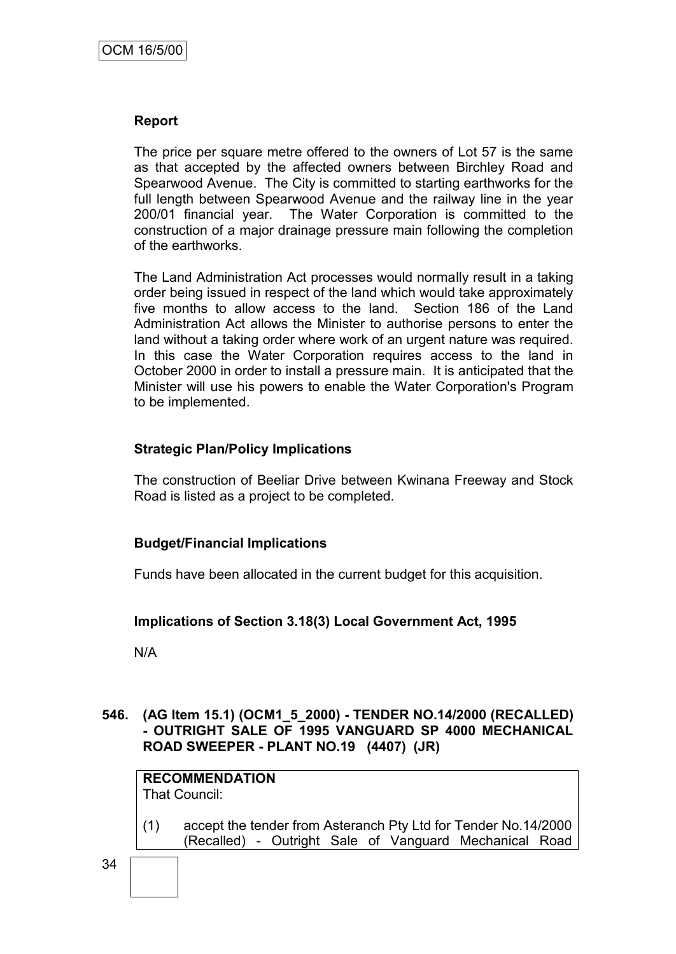#### **Report**

The price per square metre offered to the owners of Lot 57 is the same as that accepted by the affected owners between Birchley Road and Spearwood Avenue. The City is committed to starting earthworks for the full length between Spearwood Avenue and the railway line in the year 200/01 financial year. The Water Corporation is committed to the construction of a major drainage pressure main following the completion of the earthworks.

The Land Administration Act processes would normally result in a taking order being issued in respect of the land which would take approximately five months to allow access to the land. Section 186 of the Land Administration Act allows the Minister to authorise persons to enter the land without a taking order where work of an urgent nature was required. In this case the Water Corporation requires access to the land in October 2000 in order to install a pressure main. It is anticipated that the Minister will use his powers to enable the Water Corporation's Program to be implemented.

#### **Strategic Plan/Policy Implications**

The construction of Beeliar Drive between Kwinana Freeway and Stock Road is listed as a project to be completed.

#### **Budget/Financial Implications**

Funds have been allocated in the current budget for this acquisition.

#### **Implications of Section 3.18(3) Local Government Act, 1995**

N/A

## **546. (AG Item 15.1) (OCM1\_5\_2000) - TENDER NO.14/2000 (RECALLED) - OUTRIGHT SALE OF 1995 VANGUARD SP 4000 MECHANICAL ROAD SWEEPER - PLANT NO.19 (4407) (JR)**

**RECOMMENDATION** That Council:

(1) accept the tender from Asteranch Pty Ltd for Tender No.14/2000 (Recalled) - Outright Sale of Vanguard Mechanical Road

34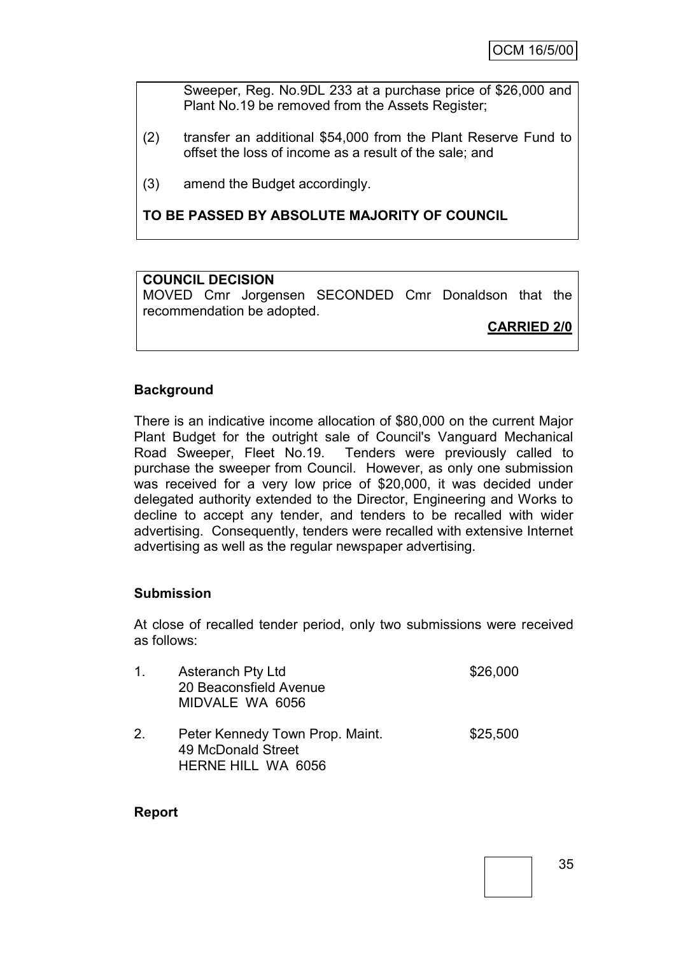Sweeper, Reg. No.9DL 233 at a purchase price of \$26,000 and Plant No.19 be removed from the Assets Register;

- (2) transfer an additional \$54,000 from the Plant Reserve Fund to offset the loss of income as a result of the sale; and
- (3) amend the Budget accordingly.

## **TO BE PASSED BY ABSOLUTE MAJORITY OF COUNCIL**

#### **COUNCIL DECISION**

MOVED Cmr Jorgensen SECONDED Cmr Donaldson that the recommendation be adopted.

**CARRIED 2/0**

## **Background**

There is an indicative income allocation of \$80,000 on the current Major Plant Budget for the outright sale of Council's Vanguard Mechanical Road Sweeper, Fleet No.19. Tenders were previously called to purchase the sweeper from Council. However, as only one submission was received for a very low price of \$20,000, it was decided under delegated authority extended to the Director, Engineering and Works to decline to accept any tender, and tenders to be recalled with wider advertising. Consequently, tenders were recalled with extensive Internet advertising as well as the regular newspaper advertising.

#### **Submission**

At close of recalled tender period, only two submissions were received as follows:

| $1_{-}$ | <b>Asteranch Pty Ltd</b><br>20 Beaconsfield Avenue<br>MIDVALE WA 6056              | \$26,000 |
|---------|------------------------------------------------------------------------------------|----------|
| 2.      | Peter Kennedy Town Prop. Maint.<br>49 McDonald Street<br><b>HERNE HILL WA 6056</b> | \$25,500 |

#### **Report**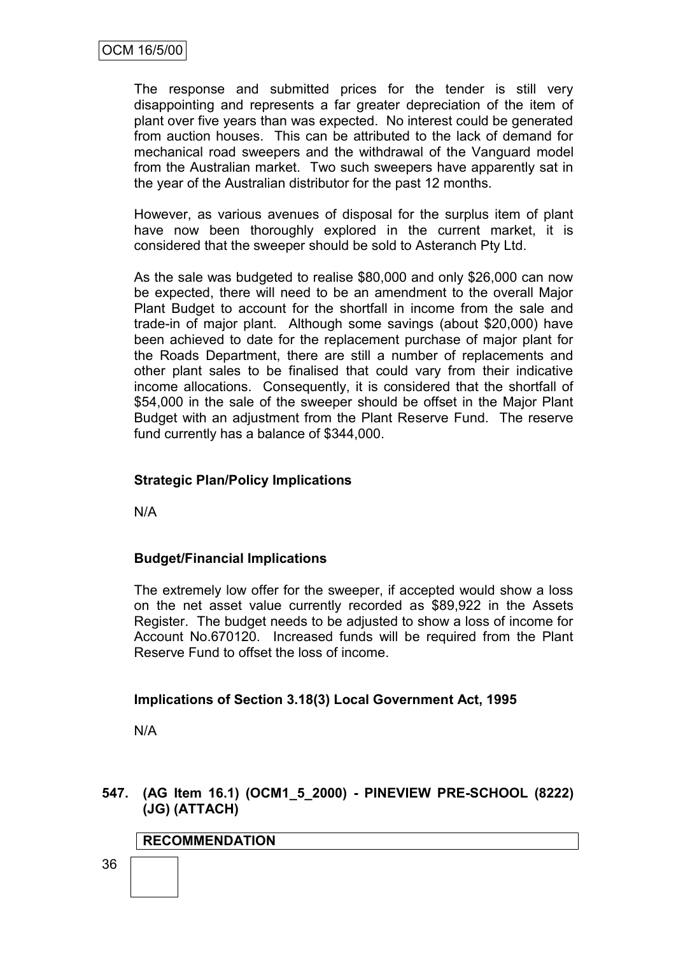The response and submitted prices for the tender is still very disappointing and represents a far greater depreciation of the item of plant over five years than was expected. No interest could be generated from auction houses. This can be attributed to the lack of demand for mechanical road sweepers and the withdrawal of the Vanguard model from the Australian market. Two such sweepers have apparently sat in the year of the Australian distributor for the past 12 months.

However, as various avenues of disposal for the surplus item of plant have now been thoroughly explored in the current market, it is considered that the sweeper should be sold to Asteranch Pty Ltd.

As the sale was budgeted to realise \$80,000 and only \$26,000 can now be expected, there will need to be an amendment to the overall Major Plant Budget to account for the shortfall in income from the sale and trade-in of major plant. Although some savings (about \$20,000) have been achieved to date for the replacement purchase of major plant for the Roads Department, there are still a number of replacements and other plant sales to be finalised that could vary from their indicative income allocations. Consequently, it is considered that the shortfall of \$54,000 in the sale of the sweeper should be offset in the Major Plant Budget with an adjustment from the Plant Reserve Fund. The reserve fund currently has a balance of \$344,000.

## **Strategic Plan/Policy Implications**

N/A

## **Budget/Financial Implications**

The extremely low offer for the sweeper, if accepted would show a loss on the net asset value currently recorded as \$89,922 in the Assets Register. The budget needs to be adjusted to show a loss of income for Account No.670120. Increased funds will be required from the Plant Reserve Fund to offset the loss of income.

## **Implications of Section 3.18(3) Local Government Act, 1995**

N/A

## **547. (AG Item 16.1) (OCM1\_5\_2000) - PINEVIEW PRE-SCHOOL (8222) (JG) (ATTACH)**

## **RECOMMENDATION**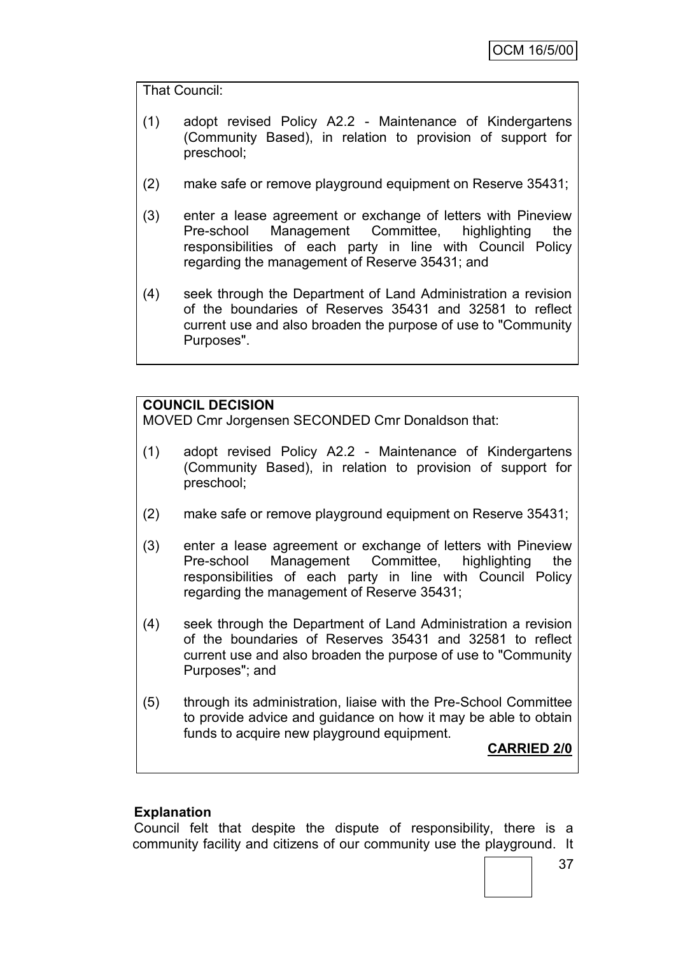That Council:

- (1) adopt revised Policy A2.2 Maintenance of Kindergartens (Community Based), in relation to provision of support for preschool;
- (2) make safe or remove playground equipment on Reserve 35431;
- (3) enter a lease agreement or exchange of letters with Pineview Pre-school Management Committee, highlighting the responsibilities of each party in line with Council Policy regarding the management of Reserve 35431; and
- (4) seek through the Department of Land Administration a revision of the boundaries of Reserves 35431 and 32581 to reflect current use and also broaden the purpose of use to "Community Purposes".

## **COUNCIL DECISION**

MOVED Cmr Jorgensen SECONDED Cmr Donaldson that:

- (1) adopt revised Policy A2.2 Maintenance of Kindergartens (Community Based), in relation to provision of support for preschool;
- (2) make safe or remove playground equipment on Reserve 35431;
- (3) enter a lease agreement or exchange of letters with Pineview Pre-school Management Committee, highlighting the responsibilities of each party in line with Council Policy regarding the management of Reserve 35431;
- (4) seek through the Department of Land Administration a revision of the boundaries of Reserves 35431 and 32581 to reflect current use and also broaden the purpose of use to "Community Purposes"; and
- (5) through its administration, liaise with the Pre-School Committee to provide advice and guidance on how it may be able to obtain funds to acquire new playground equipment.

**CARRIED 2/0**

#### **Explanation**

Council felt that despite the dispute of responsibility, there is a community facility and citizens of our community use the playground. It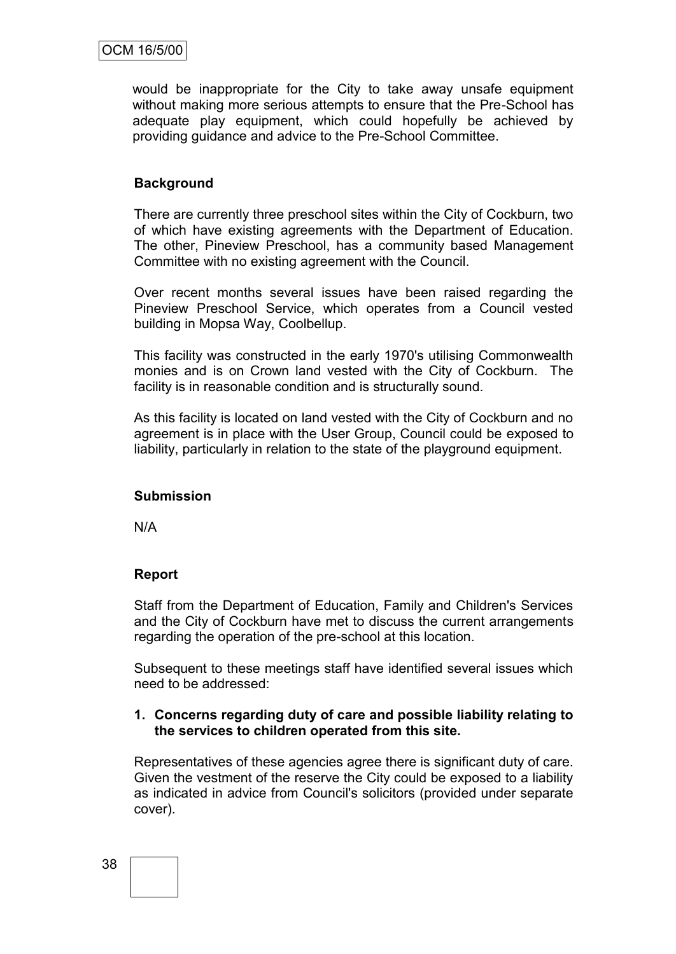would be inappropriate for the City to take away unsafe equipment without making more serious attempts to ensure that the Pre-School has adequate play equipment, which could hopefully be achieved by providing guidance and advice to the Pre-School Committee.

## **Background**

There are currently three preschool sites within the City of Cockburn, two of which have existing agreements with the Department of Education. The other, Pineview Preschool, has a community based Management Committee with no existing agreement with the Council.

Over recent months several issues have been raised regarding the Pineview Preschool Service, which operates from a Council vested building in Mopsa Way, Coolbellup.

This facility was constructed in the early 1970's utilising Commonwealth monies and is on Crown land vested with the City of Cockburn. The facility is in reasonable condition and is structurally sound.

As this facility is located on land vested with the City of Cockburn and no agreement is in place with the User Group, Council could be exposed to liability, particularly in relation to the state of the playground equipment.

#### **Submission**

N/A

## **Report**

Staff from the Department of Education, Family and Children's Services and the City of Cockburn have met to discuss the current arrangements regarding the operation of the pre-school at this location.

Subsequent to these meetings staff have identified several issues which need to be addressed:

#### **1. Concerns regarding duty of care and possible liability relating to the services to children operated from this site.**

Representatives of these agencies agree there is significant duty of care. Given the vestment of the reserve the City could be exposed to a liability as indicated in advice from Council's solicitors (provided under separate cover).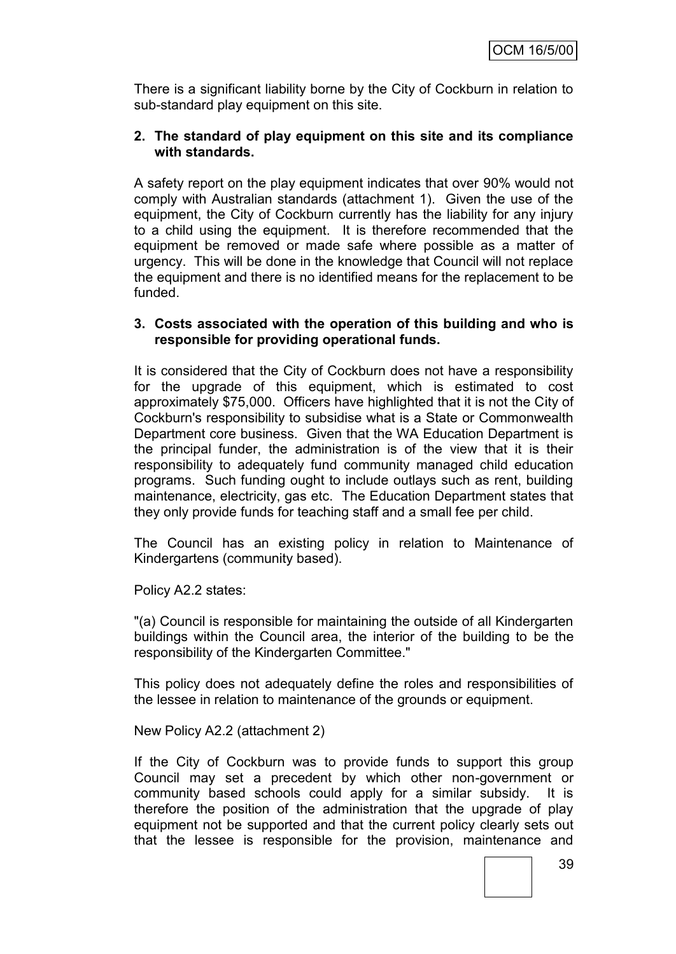There is a significant liability borne by the City of Cockburn in relation to sub-standard play equipment on this site.

#### **2. The standard of play equipment on this site and its compliance with standards.**

A safety report on the play equipment indicates that over 90% would not comply with Australian standards (attachment 1). Given the use of the equipment, the City of Cockburn currently has the liability for any injury to a child using the equipment. It is therefore recommended that the equipment be removed or made safe where possible as a matter of urgency. This will be done in the knowledge that Council will not replace the equipment and there is no identified means for the replacement to be funded.

#### **3. Costs associated with the operation of this building and who is responsible for providing operational funds.**

It is considered that the City of Cockburn does not have a responsibility for the upgrade of this equipment, which is estimated to cost approximately \$75,000. Officers have highlighted that it is not the City of Cockburn's responsibility to subsidise what is a State or Commonwealth Department core business. Given that the WA Education Department is the principal funder, the administration is of the view that it is their responsibility to adequately fund community managed child education programs. Such funding ought to include outlays such as rent, building maintenance, electricity, gas etc. The Education Department states that they only provide funds for teaching staff and a small fee per child.

The Council has an existing policy in relation to Maintenance of Kindergartens (community based).

Policy A2.2 states:

"(a) Council is responsible for maintaining the outside of all Kindergarten buildings within the Council area, the interior of the building to be the responsibility of the Kindergarten Committee."

This policy does not adequately define the roles and responsibilities of the lessee in relation to maintenance of the grounds or equipment.

New Policy A2.2 (attachment 2)

If the City of Cockburn was to provide funds to support this group Council may set a precedent by which other non-government or community based schools could apply for a similar subsidy. It is therefore the position of the administration that the upgrade of play equipment not be supported and that the current policy clearly sets out that the lessee is responsible for the provision, maintenance and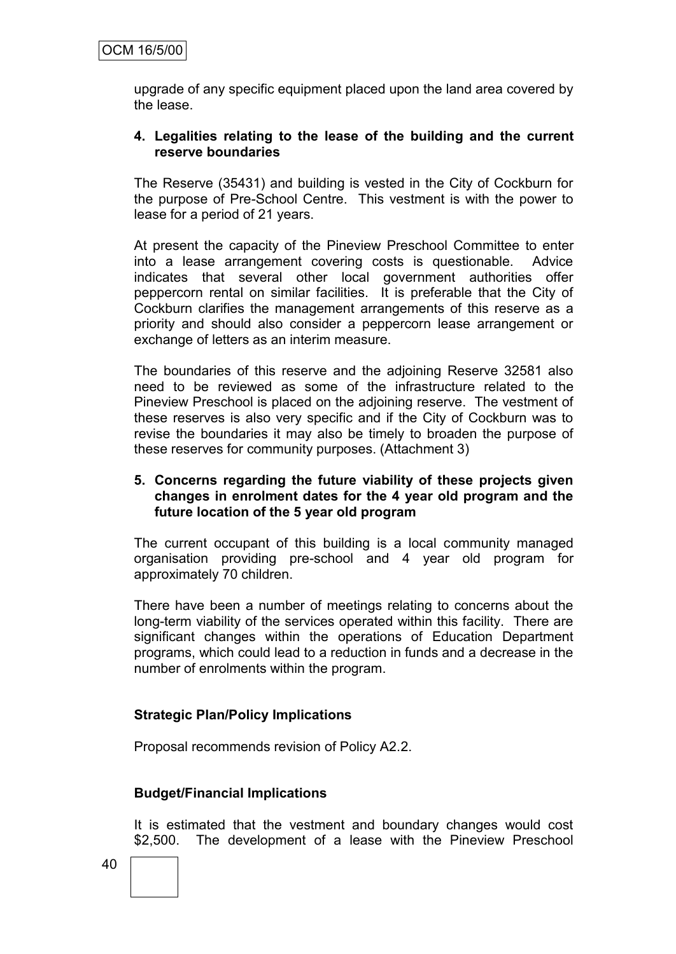upgrade of any specific equipment placed upon the land area covered by the lease.

#### **4. Legalities relating to the lease of the building and the current reserve boundaries**

The Reserve (35431) and building is vested in the City of Cockburn for the purpose of Pre-School Centre. This vestment is with the power to lease for a period of 21 years.

At present the capacity of the Pineview Preschool Committee to enter into a lease arrangement covering costs is questionable. Advice indicates that several other local government authorities offer peppercorn rental on similar facilities. It is preferable that the City of Cockburn clarifies the management arrangements of this reserve as a priority and should also consider a peppercorn lease arrangement or exchange of letters as an interim measure.

The boundaries of this reserve and the adjoining Reserve 32581 also need to be reviewed as some of the infrastructure related to the Pineview Preschool is placed on the adjoining reserve. The vestment of these reserves is also very specific and if the City of Cockburn was to revise the boundaries it may also be timely to broaden the purpose of these reserves for community purposes. (Attachment 3)

#### **5. Concerns regarding the future viability of these projects given changes in enrolment dates for the 4 year old program and the future location of the 5 year old program**

The current occupant of this building is a local community managed organisation providing pre-school and 4 year old program for approximately 70 children.

There have been a number of meetings relating to concerns about the long-term viability of the services operated within this facility. There are significant changes within the operations of Education Department programs, which could lead to a reduction in funds and a decrease in the number of enrolments within the program.

#### **Strategic Plan/Policy Implications**

Proposal recommends revision of Policy A2.2.

#### **Budget/Financial Implications**

It is estimated that the vestment and boundary changes would cost \$2,500. The development of a lease with the Pineview Preschool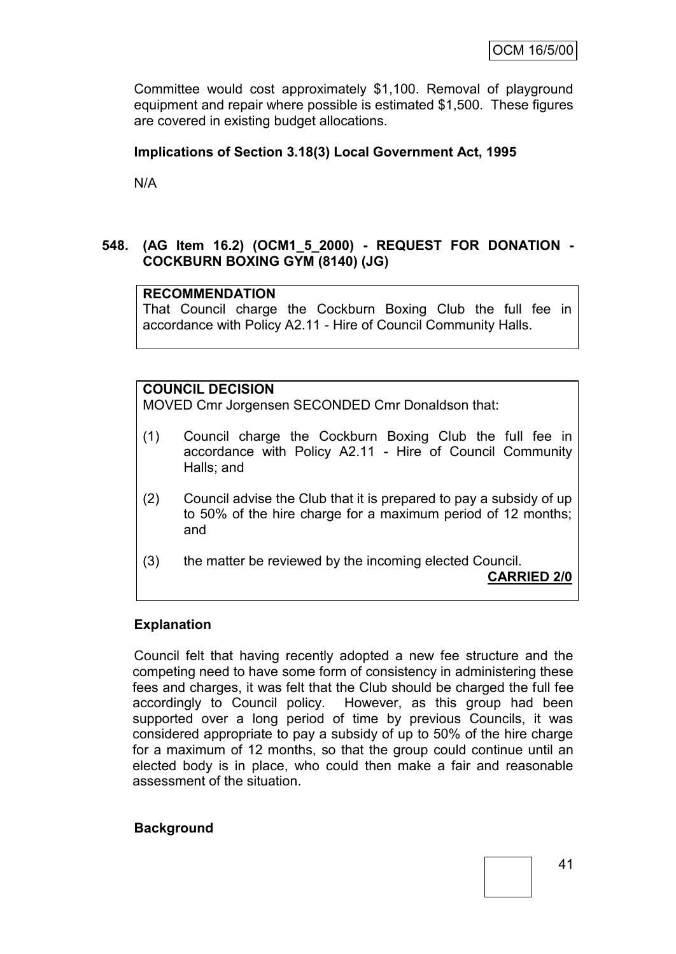Committee would cost approximately \$1,100. Removal of playground equipment and repair where possible is estimated \$1,500. These figures are covered in existing budget allocations.

#### **Implications of Section 3.18(3) Local Government Act, 1995**

N/A

#### **548. (AG Item 16.2) (OCM1\_5\_2000) - REQUEST FOR DONATION - COCKBURN BOXING GYM (8140) (JG)**

## **RECOMMENDATION**

That Council charge the Cockburn Boxing Club the full fee in accordance with Policy A2.11 - Hire of Council Community Halls.

## **COUNCIL DECISION**

MOVED Cmr Jorgensen SECONDED Cmr Donaldson that:

- (1) Council charge the Cockburn Boxing Club the full fee in accordance with Policy A2.11 - Hire of Council Community Halls; and
- (2) Council advise the Club that it is prepared to pay a subsidy of up to 50% of the hire charge for a maximum period of 12 months; and
- (3) the matter be reviewed by the incoming elected Council.

**CARRIED 2/0**

#### **Explanation**

Council felt that having recently adopted a new fee structure and the competing need to have some form of consistency in administering these fees and charges, it was felt that the Club should be charged the full fee accordingly to Council policy. However, as this group had been supported over a long period of time by previous Councils, it was considered appropriate to pay a subsidy of up to 50% of the hire charge for a maximum of 12 months, so that the group could continue until an elected body is in place, who could then make a fair and reasonable assessment of the situation.

#### **Background**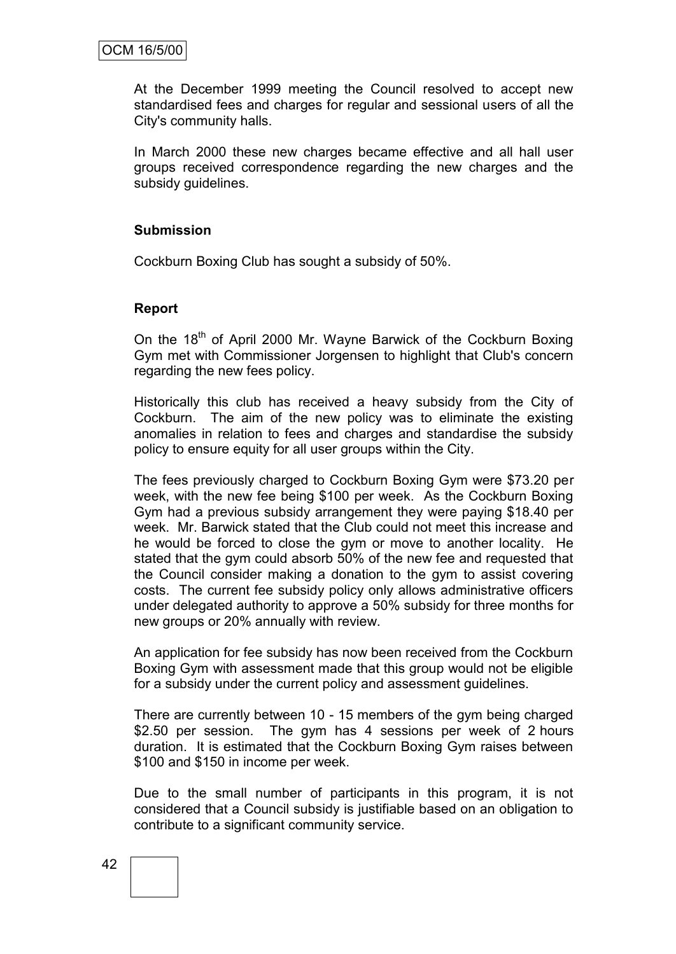At the December 1999 meeting the Council resolved to accept new standardised fees and charges for regular and sessional users of all the City's community halls.

In March 2000 these new charges became effective and all hall user groups received correspondence regarding the new charges and the subsidy guidelines.

#### **Submission**

Cockburn Boxing Club has sought a subsidy of 50%.

#### **Report**

On the 18<sup>th</sup> of April 2000 Mr. Wayne Barwick of the Cockburn Boxing Gym met with Commissioner Jorgensen to highlight that Club's concern regarding the new fees policy.

Historically this club has received a heavy subsidy from the City of Cockburn. The aim of the new policy was to eliminate the existing anomalies in relation to fees and charges and standardise the subsidy policy to ensure equity for all user groups within the City.

The fees previously charged to Cockburn Boxing Gym were \$73.20 per week, with the new fee being \$100 per week. As the Cockburn Boxing Gym had a previous subsidy arrangement they were paying \$18.40 per week. Mr. Barwick stated that the Club could not meet this increase and he would be forced to close the gym or move to another locality. He stated that the gym could absorb 50% of the new fee and requested that the Council consider making a donation to the gym to assist covering costs. The current fee subsidy policy only allows administrative officers under delegated authority to approve a 50% subsidy for three months for new groups or 20% annually with review.

An application for fee subsidy has now been received from the Cockburn Boxing Gym with assessment made that this group would not be eligible for a subsidy under the current policy and assessment guidelines.

There are currently between 10 - 15 members of the gym being charged \$2.50 per session. The gym has 4 sessions per week of 2 hours duration. It is estimated that the Cockburn Boxing Gym raises between \$100 and \$150 in income per week.

Due to the small number of participants in this program, it is not considered that a Council subsidy is justifiable based on an obligation to contribute to a significant community service.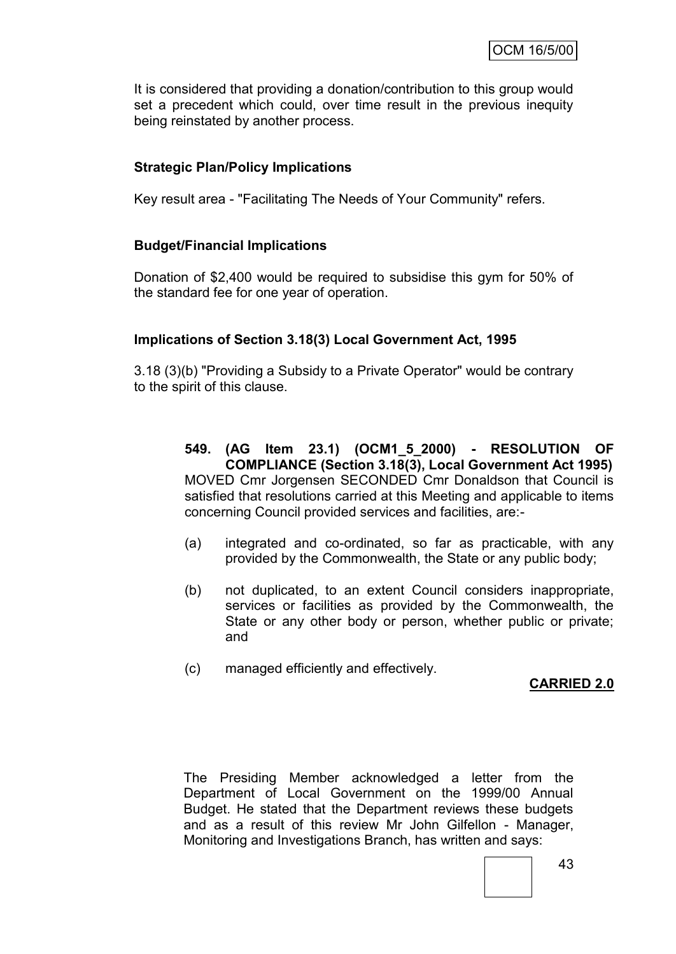It is considered that providing a donation/contribution to this group would set a precedent which could, over time result in the previous inequity being reinstated by another process.

## **Strategic Plan/Policy Implications**

Key result area - "Facilitating The Needs of Your Community" refers.

#### **Budget/Financial Implications**

Donation of \$2,400 would be required to subsidise this gym for 50% of the standard fee for one year of operation.

#### **Implications of Section 3.18(3) Local Government Act, 1995**

3.18 (3)(b) "Providing a Subsidy to a Private Operator" would be contrary to the spirit of this clause.

## **549. (AG Item 23.1) (OCM1\_5\_2000) - RESOLUTION OF COMPLIANCE (Section 3.18(3), Local Government Act 1995)**

MOVED Cmr Jorgensen SECONDED Cmr Donaldson that Council is satisfied that resolutions carried at this Meeting and applicable to items concerning Council provided services and facilities, are:-

- (a) integrated and co-ordinated, so far as practicable, with any provided by the Commonwealth, the State or any public body;
- (b) not duplicated, to an extent Council considers inappropriate, services or facilities as provided by the Commonwealth, the State or any other body or person, whether public or private; and
- (c) managed efficiently and effectively.

#### **CARRIED 2.0**

The Presiding Member acknowledged a letter from the Department of Local Government on the 1999/00 Annual Budget. He stated that the Department reviews these budgets and as a result of this review Mr John Gilfellon - Manager, Monitoring and Investigations Branch, has written and says: